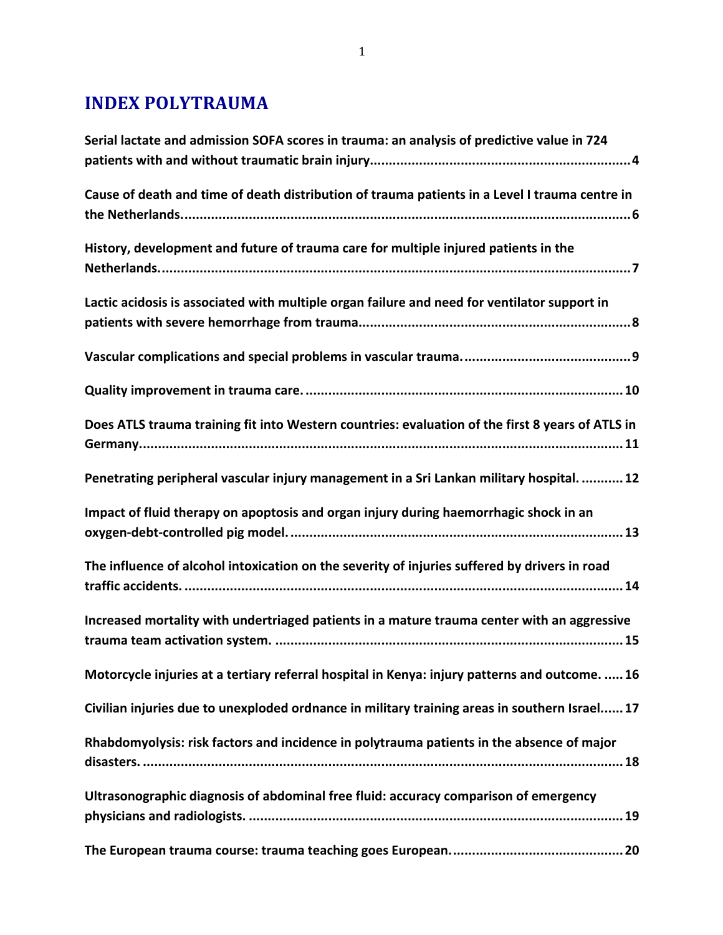### **INDEX POLYTRAUMA**

| Serial lactate and admission SOFA scores in trauma: an analysis of predictive value in 724       |
|--------------------------------------------------------------------------------------------------|
| Cause of death and time of death distribution of trauma patients in a Level I trauma centre in   |
| History, development and future of trauma care for multiple injured patients in the              |
| Lactic acidosis is associated with multiple organ failure and need for ventilator support in     |
|                                                                                                  |
|                                                                                                  |
| Does ATLS trauma training fit into Western countries: evaluation of the first 8 years of ATLS in |
| Penetrating peripheral vascular injury management in a Sri Lankan military hospital.  12         |
| Impact of fluid therapy on apoptosis and organ injury during haemorrhagic shock in an            |
| The influence of alcohol intoxication on the severity of injuries suffered by drivers in road    |
| Increased mortality with undertriaged patients in a mature trauma center with an aggressive      |
| Motorcycle injuries at a tertiary referral hospital in Kenya: injury patterns and outcome.  16   |
| Civilian injuries due to unexploded ordnance in military training areas in southern Israel 17    |
| Rhabdomyolysis: risk factors and incidence in polytrauma patients in the absence of major        |
| Ultrasonographic diagnosis of abdominal free fluid: accuracy comparison of emergency             |
|                                                                                                  |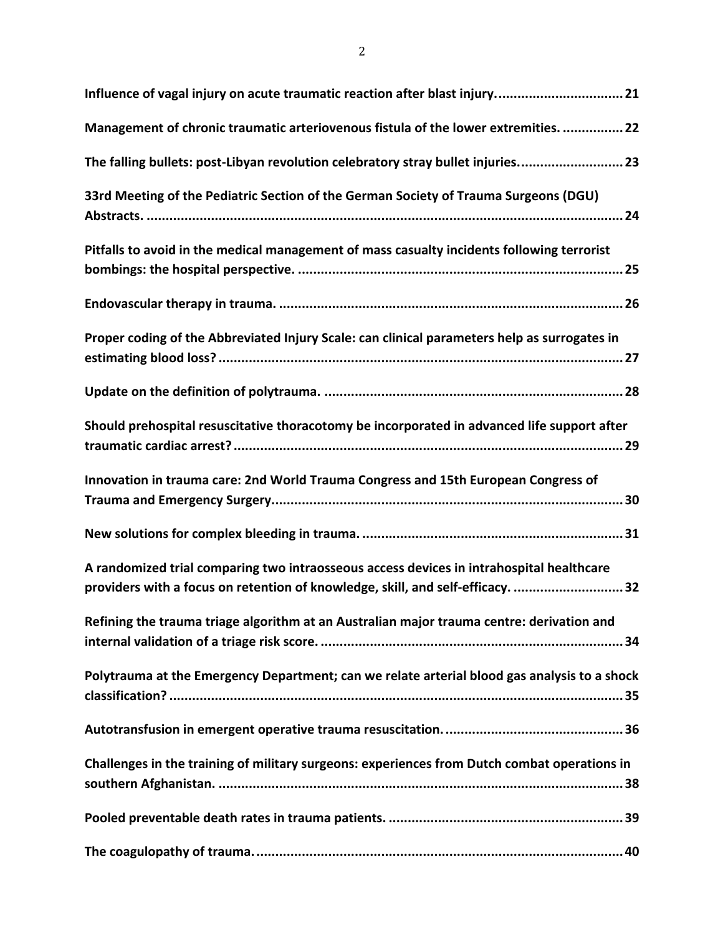| Management of chronic traumatic arteriovenous fistula of the lower extremities.  22                                                                                        |
|----------------------------------------------------------------------------------------------------------------------------------------------------------------------------|
| The falling bullets: post-Libyan revolution celebratory stray bullet injuries 23                                                                                           |
| 33rd Meeting of the Pediatric Section of the German Society of Trauma Surgeons (DGU)                                                                                       |
| Pitfalls to avoid in the medical management of mass casualty incidents following terrorist                                                                                 |
|                                                                                                                                                                            |
| Proper coding of the Abbreviated Injury Scale: can clinical parameters help as surrogates in                                                                               |
|                                                                                                                                                                            |
| Should prehospital resuscitative thoracotomy be incorporated in advanced life support after                                                                                |
|                                                                                                                                                                            |
| Innovation in trauma care: 2nd World Trauma Congress and 15th European Congress of                                                                                         |
|                                                                                                                                                                            |
| A randomized trial comparing two intraosseous access devices in intrahospital healthcare<br>providers with a focus on retention of knowledge, skill, and self-efficacy. 32 |
| Refining the trauma triage algorithm at an Australian major trauma centre: derivation and                                                                                  |
| Polytrauma at the Emergency Department; can we relate arterial blood gas analysis to a shock                                                                               |
|                                                                                                                                                                            |
| Challenges in the training of military surgeons: experiences from Dutch combat operations in                                                                               |
|                                                                                                                                                                            |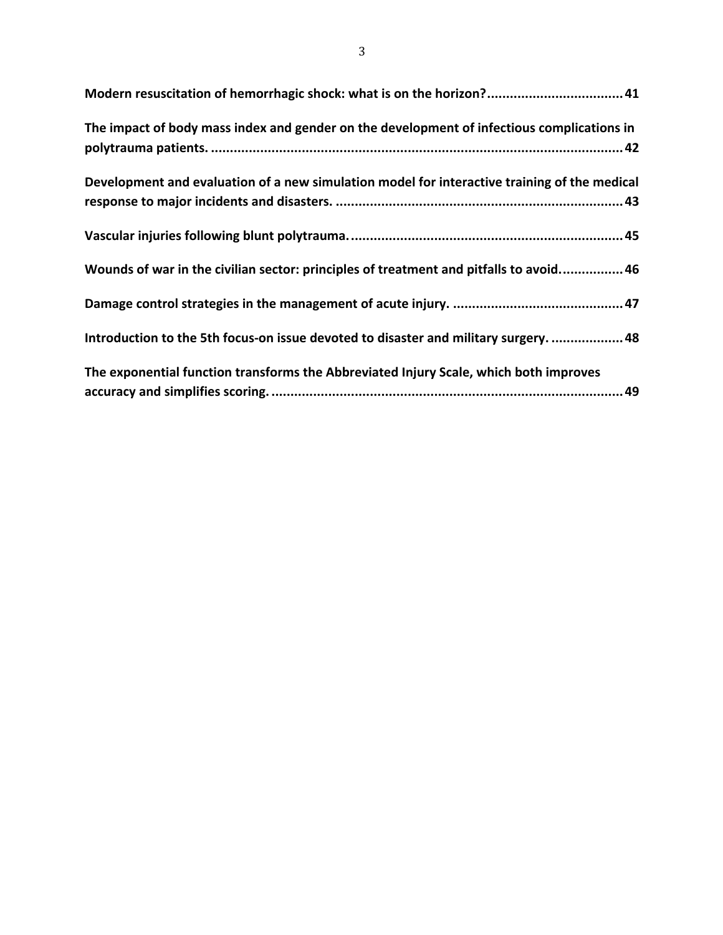| Modern resuscitation of hemorrhagic shock: what is on the horizon? 41                        |
|----------------------------------------------------------------------------------------------|
| The impact of body mass index and gender on the development of infectious complications in   |
|                                                                                              |
| Development and evaluation of a new simulation model for interactive training of the medical |
|                                                                                              |
|                                                                                              |
| Wounds of war in the civilian sector: principles of treatment and pitfalls to avoid 46       |
|                                                                                              |
| Introduction to the 5th focus-on issue devoted to disaster and military surgery.  48         |
| The exponential function transforms the Abbreviated Injury Scale, which both improves        |
|                                                                                              |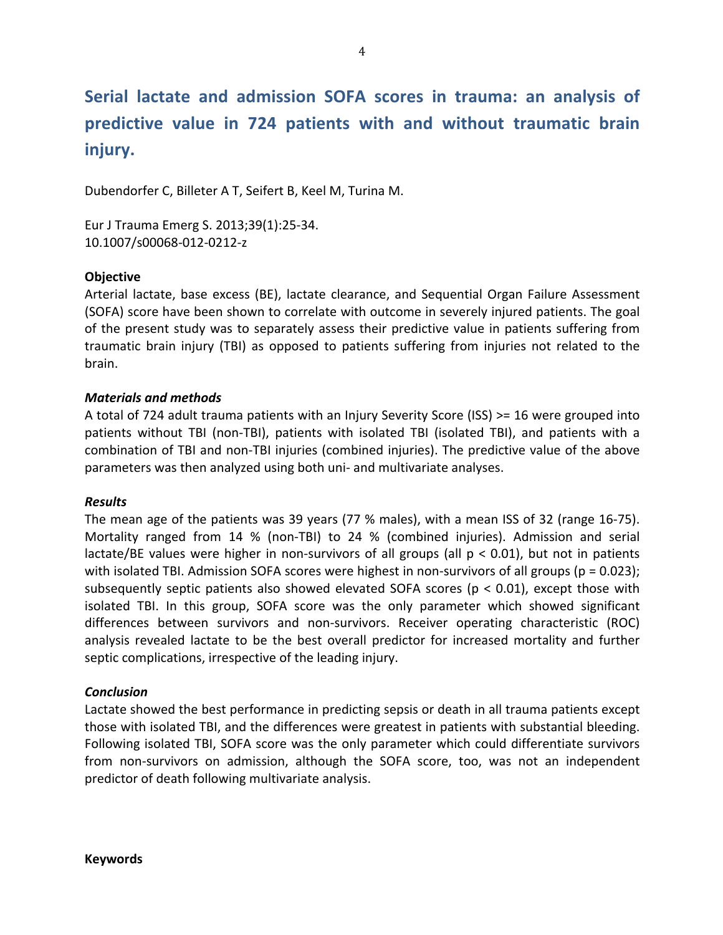# Serial lactate and admission SOFA scores in trauma: an analysis of **predictive' value' in' 724' patients' with' and' without' traumatic' brain' injury.**

Dubendorfer C, Billeter A T, Seifert B, Keel M, Turina M.

Eur J Trauma Emerg S. 2013;39(1):25-34. 10.1007/s00068-012-0212-z

#### **Objective'**

Arterial lactate, base excess (BE), lactate clearance, and Sequential Organ Failure Assessment (SOFA) score have been shown to correlate with outcome in severely injured patients. The goal of the present study was to separately assess their predictive value in patients suffering from traumatic brain injury (TBI) as opposed to patients suffering from injuries not related to the brain.

#### *Materials)and)methods*

A total of 724 adult trauma patients with an Injury Severity Score (ISS) >= 16 were grouped into patients without TBI (non-TBI), patients with isolated TBI (isolated TBI), and patients with a combination of TBI and non-TBI injuries (combined injuries). The predictive value of the above parameters was then analyzed using both uni- and multivariate analyses.

#### *Results*

The mean age of the patients was 39 years (77 % males), with a mean ISS of 32 (range 16-75). Mortality ranged from 14 % (non-TBI) to 24 % (combined injuries). Admission and serial lactate/BE values were higher in non-survivors of all groups (all  $p < 0.01$ ), but not in patients with isolated TBI. Admission SOFA scores were highest in non-survivors of all groups ( $p = 0.023$ ); subsequently septic patients also showed elevated SOFA scores ( $p < 0.01$ ), except those with isolated TBI. In this group, SOFA score was the only parameter which showed significant differences between survivors and non-survivors. Receiver operating characteristic (ROC) analysis revealed lactate to be the best overall predictor for increased mortality and further septic complications, irrespective of the leading injury.

#### *Conclusion*

Lactate showed the best performance in predicting sepsis or death in all trauma patients except those with isolated TBI, and the differences were greatest in patients with substantial bleeding. Following isolated TBI, SOFA score was the only parameter which could differentiate survivors from non-survivors on admission, although the SOFA score, too, was not an independent predictor of death following multivariate analysis.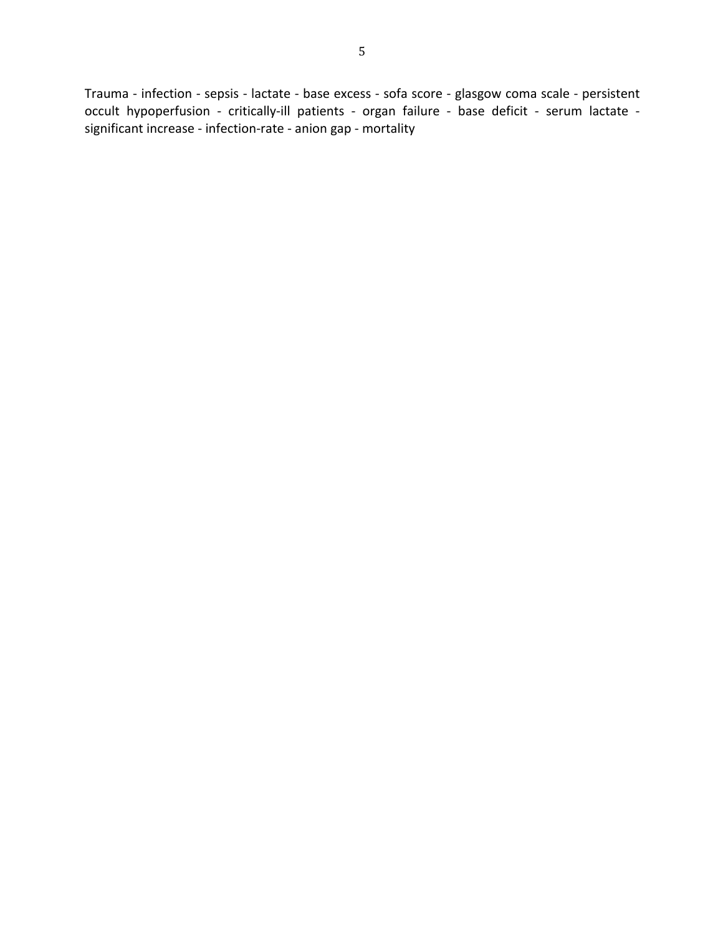Trauma - infection - sepsis - lactate - base excess - sofa score - glasgow coma scale - persistent occult hypoperfusion - critically-ill patients - organ failure - base deficit - serum lactate significant increase - infection-rate - anion gap - mortality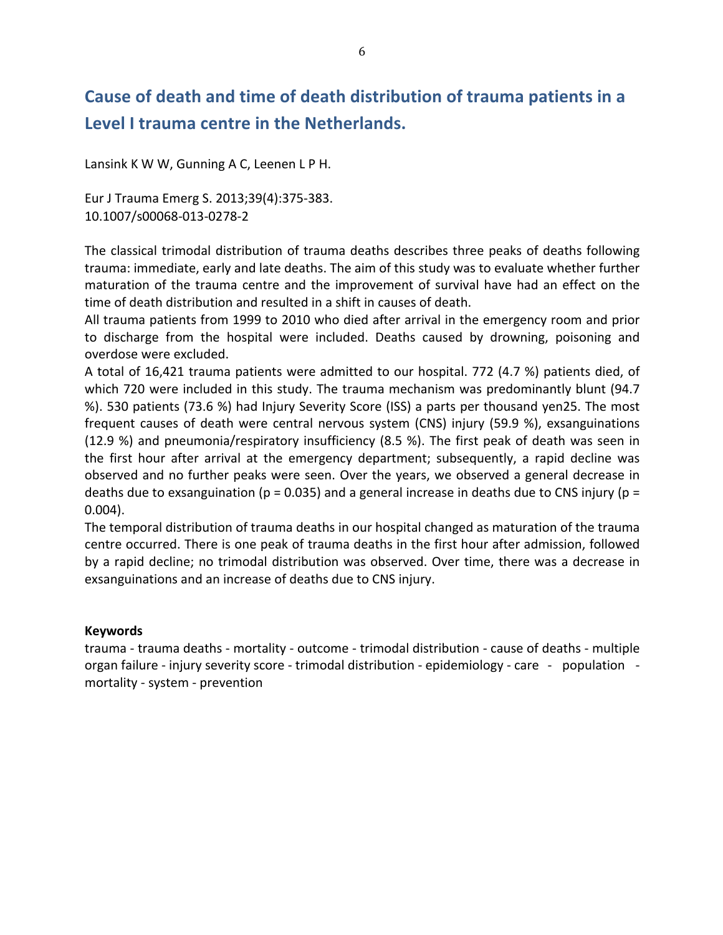# **Cause'of'death'and'time'of'death'distribution'of'trauma'patients'in'a'** Level I trauma centre in the Netherlands.

Lansink K W W, Gunning A C, Leenen L P H.

Eur J Trauma Emerg S. 2013;39(4):375-383. 10.1007/s00068-013-0278-2

The classical trimodal distribution of trauma deaths describes three peaks of deaths following trauma: immediate, early and late deaths. The aim of this study was to evaluate whether further maturation of the trauma centre and the improvement of survival have had an effect on the time of death distribution and resulted in a shift in causes of death.

All trauma patients from 1999 to 2010 who died after arrival in the emergency room and prior to discharge from the hospital were included. Deaths caused by drowning, poisoning and overdose were excluded.

A total of 16,421 trauma patients were admitted to our hospital. 772 (4.7 %) patients died, of which 720 were included in this study. The trauma mechanism was predominantly blunt (94.7 %). 530 patients (73.6 %) had Injury Severity Score (ISS) a parts per thousand yen25. The most frequent causes of death were central nervous system (CNS) injury (59.9 %), exsanguinations (12.9 %) and pneumonia/respiratory insufficiency (8.5 %). The first peak of death was seen in the first hour after arrival at the emergency department; subsequently, a rapid decline was observed and no further peaks were seen. Over the years, we observed a general decrease in deaths due to exsanguination (p = 0.035) and a general increase in deaths due to CNS injury (p = 0.004).

The temporal distribution of trauma deaths in our hospital changed as maturation of the trauma centre occurred. There is one peak of trauma deaths in the first hour after admission, followed by a rapid decline; no trimodal distribution was observed. Over time, there was a decrease in exsanguinations and an increase of deaths due to CNS injury.

#### **Keywords**

trauma - trauma deaths - mortality - outcome - trimodal distribution - cause of deaths - multiple organ failure - injury severity score - trimodal distribution - epidemiology - care - population mortality - system - prevention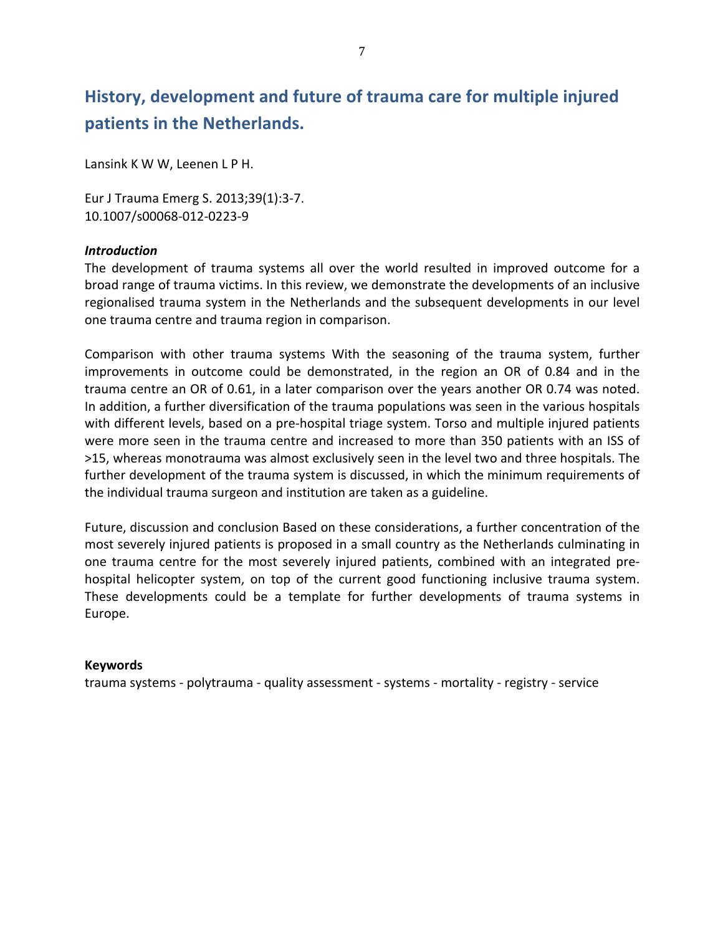# History, development and future of trauma care for multiple injured patients in the Netherlands.

Lansink K W W, Leenen L P H.

Eur J Trauma Emerg S. 2013;39(1):3-7. 10.1007/s00068-012-0223-9

#### *Introduction*

The development of trauma systems all over the world resulted in improved outcome for a broad range of trauma victims. In this review, we demonstrate the developments of an inclusive regionalised trauma system in the Netherlands and the subsequent developments in our level one trauma centre and trauma region in comparison.

Comparison with other trauma systems With the seasoning of the trauma system, further improvements in outcome could be demonstrated, in the region an OR of 0.84 and in the trauma centre an OR of 0.61, in a later comparison over the years another OR 0.74 was noted. In addition, a further diversification of the trauma populations was seen in the various hospitals with different levels, based on a pre-hospital triage system. Torso and multiple injured patients were more seen in the trauma centre and increased to more than 350 patients with an ISS of >15, whereas monotrauma was almost exclusively seen in the level two and three hospitals. The further development of the trauma system is discussed, in which the minimum requirements of the individual trauma surgeon and institution are taken as a guideline.

Future, discussion and conclusion Based on these considerations, a further concentration of the most severely injured patients is proposed in a small country as the Netherlands culminating in one trauma centre for the most severely injured patients, combined with an integrated prehospital helicopter system, on top of the current good functioning inclusive trauma system. These developments could be a template for further developments of trauma systems in Europe.

#### **Keywords**

trauma systems - polytrauma - quality assessment - systems - mortality - registry - service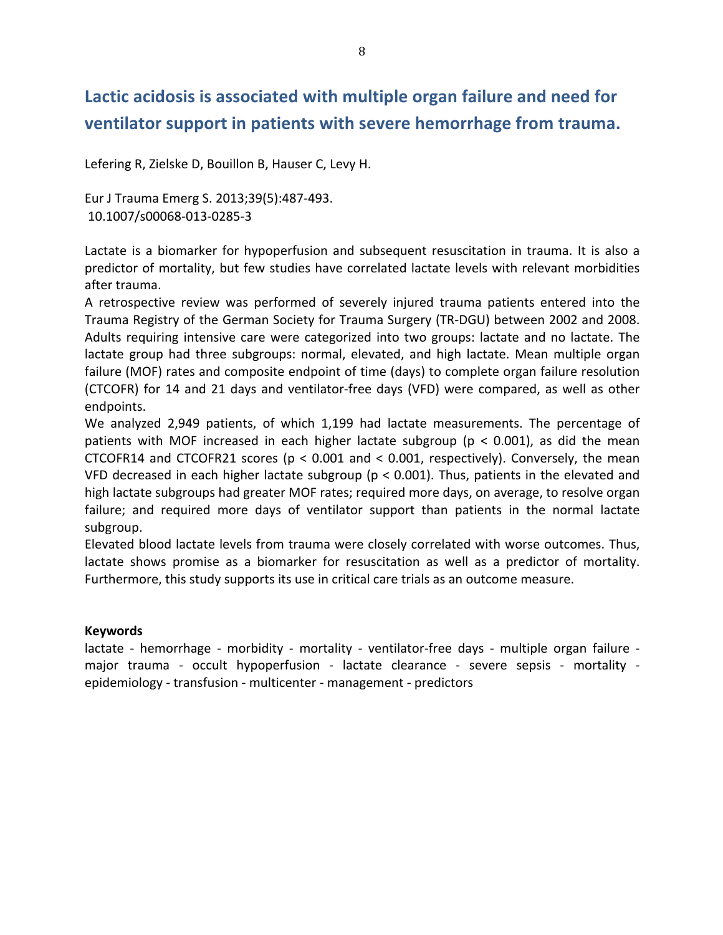## Lactic acidosis is associated with multiple organ failure and need for ventilator support in patients with severe hemorrhage from trauma.

Lefering R, Zielske D, Bouillon B, Hauser C, Levy H.

Eur J Trauma Emerg S. 2013;39(5):487-493. 10.1007/s00068-013-0285-3

Lactate is a biomarker for hypoperfusion and subsequent resuscitation in trauma. It is also a predictor of mortality, but few studies have correlated lactate levels with relevant morbidities after trauma.

A retrospective review was performed of severely injured trauma patients entered into the Trauma Registry of the German Society for Trauma Surgery (TR-DGU) between 2002 and 2008. Adults requiring intensive care were categorized into two groups: lactate and no lactate. The lactate group had three subgroups: normal, elevated, and high lactate. Mean multiple organ failure (MOF) rates and composite endpoint of time (days) to complete organ failure resolution (CTCOFR) for 14 and 21 days and ventilator-free days (VFD) were compared, as well as other endpoints.

We analyzed 2,949 patients, of which 1,199 had lactate measurements. The percentage of patients with MOF increased in each higher lactate subgroup ( $p < 0.001$ ), as did the mean CTCOFR14 and CTCOFR21 scores ( $p < 0.001$  and  $< 0.001$ , respectively). Conversely, the mean VFD decreased in each higher lactate subgroup ( $p < 0.001$ ). Thus, patients in the elevated and high lactate subgroups had greater MOF rates; required more days, on average, to resolve organ failure; and required more days of ventilator support than patients in the normal lactate subgroup.

Elevated blood lactate levels from trauma were closely correlated with worse outcomes. Thus, lactate shows promise as a biomarker for resuscitation as well as a predictor of mortality. Furthermore, this study supports its use in critical care trials as an outcome measure.

#### **Keywords**

lactate - hemorrhage - morbidity - mortality - ventilator-free days - multiple organ failure major trauma - occult hypoperfusion - lactate clearance - severe sepsis - mortality epidemiology - transfusion - multicenter - management - predictors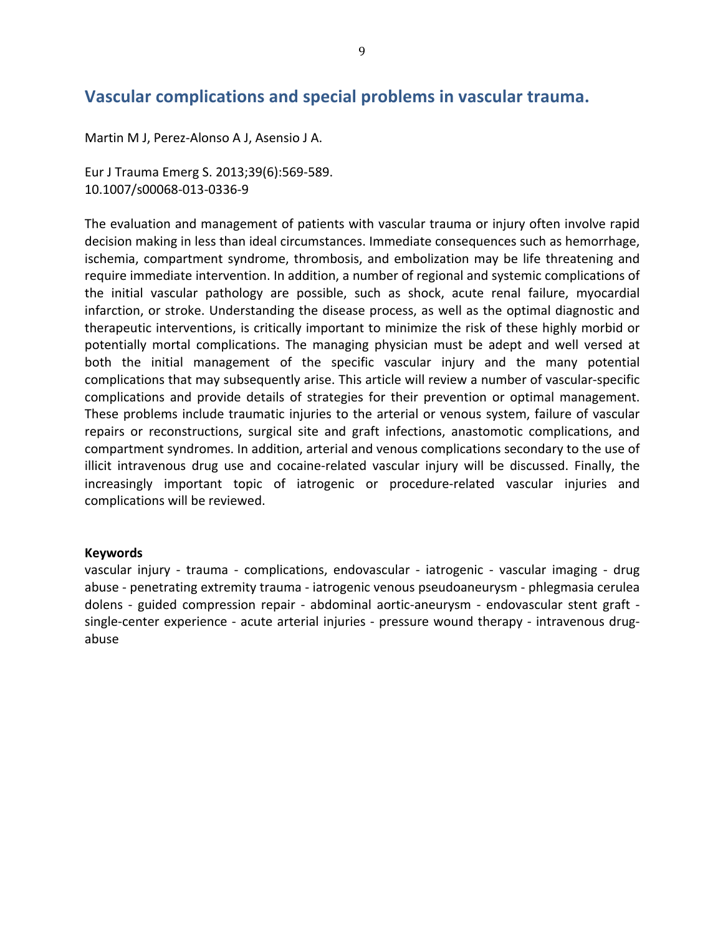### **Vascular'complications'and'special'problems'in'vascular'trauma.**

Martin M J, Perez-Alonso A J, Asensio J A.

Eur J Trauma Emerg S. 2013;39(6):569-589. 10.1007/s00068-013-0336-9

The evaluation and management of patients with vascular trauma or injury often involve rapid decision making in less than ideal circumstances. Immediate consequences such as hemorrhage, ischemia, compartment syndrome, thrombosis, and embolization may be life threatening and require immediate intervention. In addition, a number of regional and systemic complications of the initial vascular pathology are possible, such as shock, acute renal failure, myocardial infarction, or stroke. Understanding the disease process, as well as the optimal diagnostic and therapeutic interventions, is critically important to minimize the risk of these highly morbid or potentially mortal complications. The managing physician must be adept and well versed at both the initial management of the specific vascular injury and the many potential complications that may subsequently arise. This article will review a number of vascular-specific complications and provide details of strategies for their prevention or optimal management. These problems include traumatic injuries to the arterial or venous system, failure of vascular repairs or reconstructions, surgical site and graft infections, anastomotic complications, and compartment syndromes. In addition, arterial and venous complications secondary to the use of illicit intravenous drug use and cocaine-related vascular injury will be discussed. Finally, the increasingly important topic of iatrogenic or procedure-related vascular injuries and complications will be reviewed.

#### **Keywords**

vascular injury - trauma - complications, endovascular - iatrogenic - vascular imaging - drug abuse - penetrating extremity trauma - iatrogenic venous pseudoaneurysm - phlegmasia cerulea dolens - guided compression repair - abdominal aortic-aneurysm - endovascular stent graft single-center experience - acute arterial injuries - pressure wound therapy - intravenous drugabuse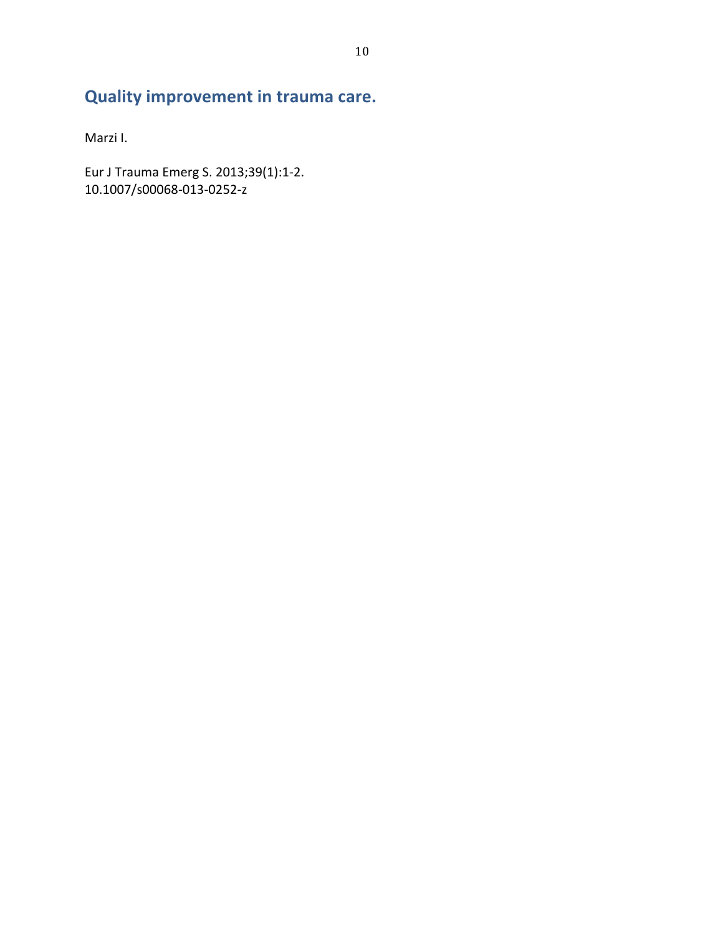# **Quality improvement in trauma care.**

Marzi I.

Eur J Trauma Emerg S. 2013;39(1):1-2. 10.1007/s00068-013-0252-z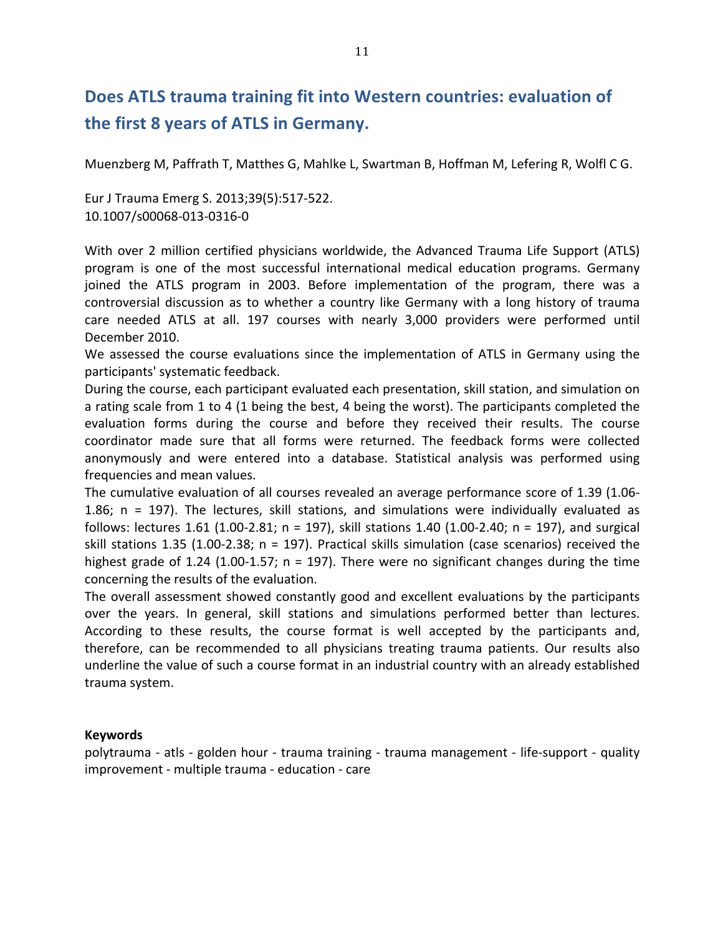### Does ATLS trauma training fit into Western countries: evaluation of the first 8 years of ATLS in Germany.

Muenzberg M, Paffrath T, Matthes G, Mahlke L, Swartman B, Hoffman M, Lefering R, Wolfl C G.

Eur J Trauma Emerg S. 2013;39(5):517-522. 10.1007/s00068-013-0316-0

With over 2 million certified physicians worldwide, the Advanced Trauma Life Support (ATLS) program is one of the most successful international medical education programs. Germany joined the ATLS program in 2003. Before implementation of the program, there was a controversial discussion as to whether a country like Germany with a long history of trauma care needed ATLS at all. 197 courses with nearly 3,000 providers were performed until December 2010.

We assessed the course evaluations since the implementation of ATLS in Germany using the participants' systematic feedback.

During the course, each participant evaluated each presentation, skill station, and simulation on a rating scale from 1 to 4 (1 being the best, 4 being the worst). The participants completed the evaluation forms during the course and before they received their results. The course coordinator made sure that all forms were returned. The feedback forms were collected anonymously and were entered into a database. Statistical analysis was performed using frequencies and mean values.

The cumulative evaluation of all courses revealed an average performance score of 1.39 (1.06-1.86;  $n = 197$ ). The lectures, skill stations, and simulations were individually evaluated as follows: lectures  $1.61$  (1.00-2.81; n = 197), skill stations  $1.40$  (1.00-2.40; n = 197), and surgical skill stations  $1.35$  (1.00-2.38; n = 197). Practical skills simulation (case scenarios) received the highest grade of 1.24 (1.00-1.57;  $n = 197$ ). There were no significant changes during the time concerning the results of the evaluation.

The overall assessment showed constantly good and excellent evaluations by the participants over the years. In general, skill stations and simulations performed better than lectures. According to these results, the course format is well accepted by the participants and, therefore, can be recommended to all physicians treating trauma patients. Our results also underline the value of such a course format in an industrial country with an already established trauma system.

#### **Keywords**

polytrauma - atls - golden hour - trauma training - trauma management - life-support - quality improvement - multiple trauma - education - care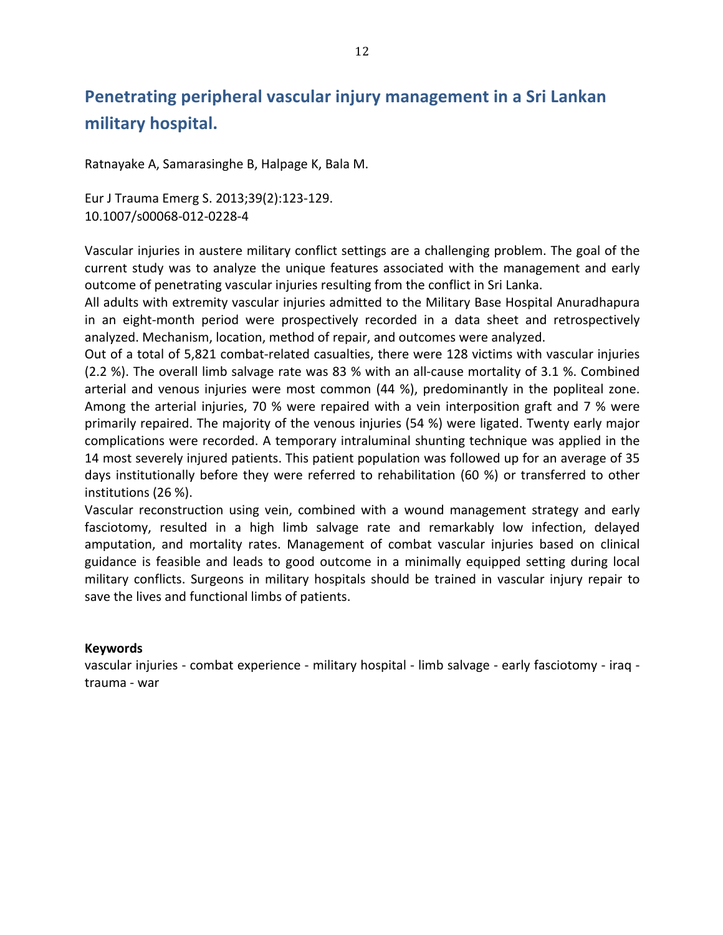## Penetrating peripheral vascular injury management in a Sri Lankan **military'hospital.**

Ratnayake A, Samarasinghe B, Halpage K, Bala M.

Eur J Trauma Emerg S. 2013;39(2):123-129. 10.1007/s00068-012-0228-4

Vascular injuries in austere military conflict settings are a challenging problem. The goal of the current study was to analyze the unique features associated with the management and early outcome of penetrating vascular injuries resulting from the conflict in Sri Lanka.

All adults with extremity vascular injuries admitted to the Military Base Hospital Anuradhapura in an eight-month period were prospectively recorded in a data sheet and retrospectively analyzed. Mechanism, location, method of repair, and outcomes were analyzed.

Out of a total of 5,821 combat-related casualties, there were 128 victims with vascular injuries (2.2 %). The overall limb salvage rate was 83 % with an all-cause mortality of 3.1 %. Combined arterial and venous injuries were most common (44 %), predominantly in the popliteal zone. Among the arterial injuries, 70 % were repaired with a vein interposition graft and 7 % were primarily repaired. The majority of the venous injuries (54 %) were ligated. Twenty early major complications were recorded. A temporary intraluminal shunting technique was applied in the 14 most severely injured patients. This patient population was followed up for an average of 35 days institutionally before they were referred to rehabilitation (60 %) or transferred to other institutions (26 %).

Vascular reconstruction using vein, combined with a wound management strategy and early fasciotomy, resulted in a high limb salvage rate and remarkably low infection, delayed amputation, and mortality rates. Management of combat vascular injuries based on clinical guidance is feasible and leads to good outcome in a minimally equipped setting during local military conflicts. Surgeons in military hospitals should be trained in vascular injury repair to save the lives and functional limbs of patients.

#### **Keywords**

vascular injuries - combat experience - military hospital - limb salvage - early fasciotomy - iraq trauma - war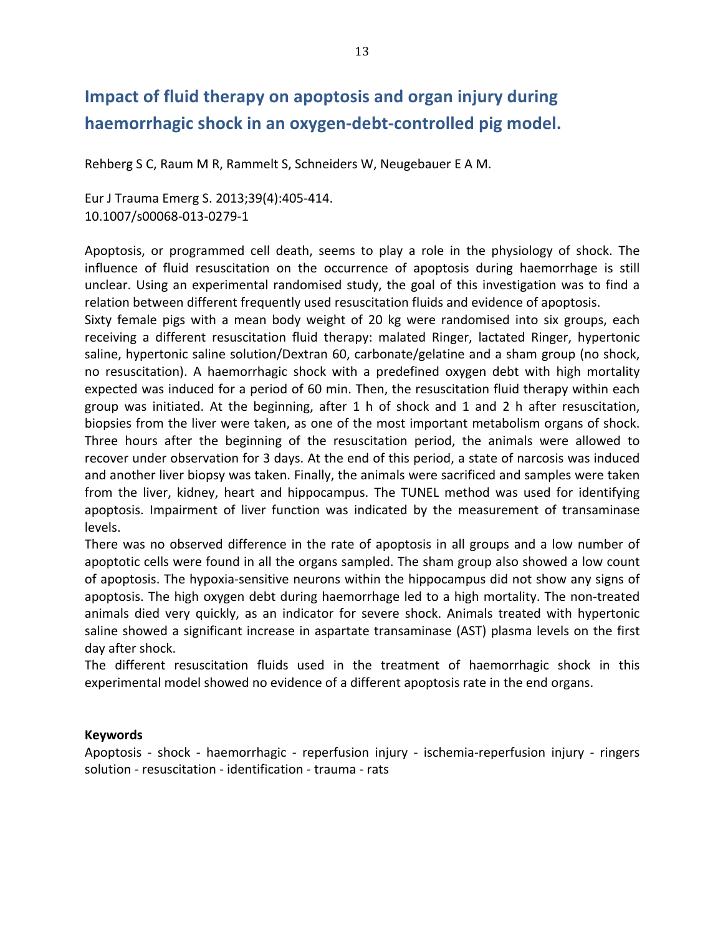### **Impact of fluid therapy on apoptosis and organ injury during** haemorrhagic shock in an oxygen-debt-controlled pig model.

Rehberg S C, Raum M R, Rammelt S, Schneiders W, Neugebauer E A M.

Eur J Trauma Emerg S. 2013;39(4):405-414. 10.1007/s00068-013-0279-1

Apoptosis, or programmed cell death, seems to play a role in the physiology of shock. The influence of fluid resuscitation on the occurrence of apoptosis during haemorrhage is still unclear. Using an experimental randomised study, the goal of this investigation was to find a relation between different frequently used resuscitation fluids and evidence of apoptosis.

Sixty female pigs with a mean body weight of 20 kg were randomised into six groups, each receiving a different resuscitation fluid therapy: malated Ringer, lactated Ringer, hypertonic saline, hypertonic saline solution/Dextran 60, carbonate/gelatine and a sham group (no shock, no resuscitation). A haemorrhagic shock with a predefined oxygen debt with high mortality expected was induced for a period of 60 min. Then, the resuscitation fluid therapy within each group was initiated. At the beginning, after 1 h of shock and 1 and 2 h after resuscitation, biopsies from the liver were taken, as one of the most important metabolism organs of shock. Three hours after the beginning of the resuscitation period, the animals were allowed to recover under observation for 3 days. At the end of this period, a state of narcosis was induced and another liver biopsy was taken. Finally, the animals were sacrificed and samples were taken from the liver, kidney, heart and hippocampus. The TUNEL method was used for identifying apoptosis. Impairment of liver function was indicated by the measurement of transaminase levels.

There was no observed difference in the rate of apoptosis in all groups and a low number of apoptotic cells were found in all the organs sampled. The sham group also showed a low count of apoptosis. The hypoxia-sensitive neurons within the hippocampus did not show any signs of apoptosis. The high oxygen debt during haemorrhage led to a high mortality. The non-treated animals died very quickly, as an indicator for severe shock. Animals treated with hypertonic saline showed a significant increase in aspartate transaminase (AST) plasma levels on the first day after shock.

The different resuscitation fluids used in the treatment of haemorrhagic shock in this experimental model showed no evidence of a different apoptosis rate in the end organs.

#### **Keywords**

Apoptosis - shock - haemorrhagic - reperfusion injury - ischemia-reperfusion injury - ringers solution - resuscitation - identification - trauma - rats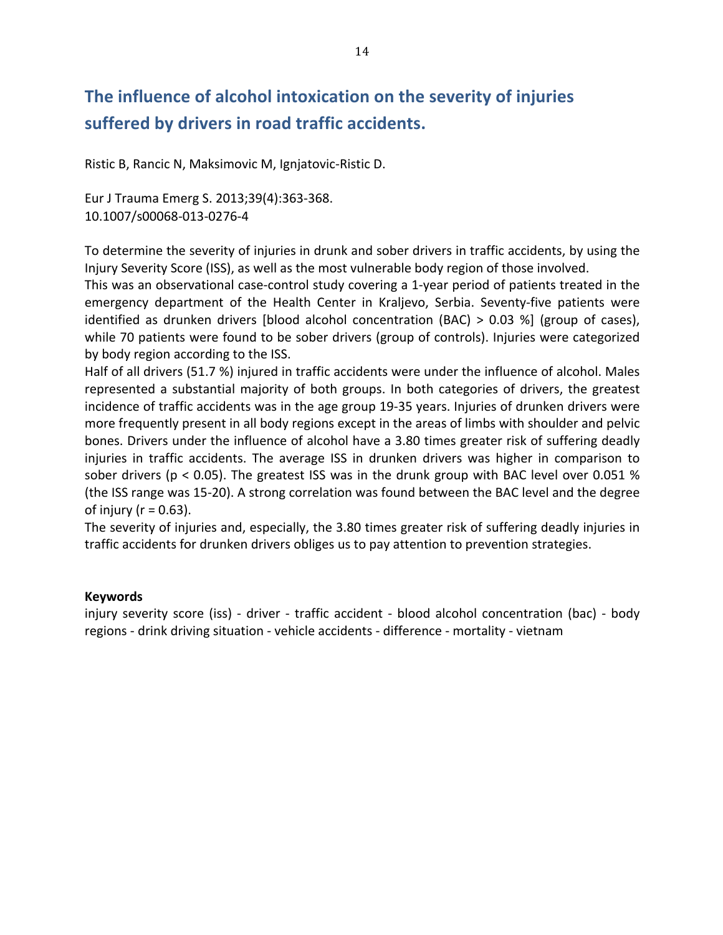# The influence of alcohol intoxication on the severity of injuries suffered by drivers in road traffic accidents.

Ristic B, Rancic N, Maksimovic M, Ignjatovic-Ristic D.

Eur J Trauma Emerg S. 2013;39(4):363-368. 10.1007/s00068-013-0276-4

To determine the severity of injuries in drunk and sober drivers in traffic accidents, by using the Injury Severity Score (ISS), as well as the most vulnerable body region of those involved.

This was an observational case-control study covering a 1-year period of patients treated in the emergency department of the Health Center in Kraljevo, Serbia. Seventy-five patients were identified as drunken drivers [blood alcohol concentration (BAC) > 0.03 %] (group of cases), while 70 patients were found to be sober drivers (group of controls). Injuries were categorized by body region according to the ISS.

Half of all drivers (51.7 %) injured in traffic accidents were under the influence of alcohol. Males represented a substantial majority of both groups. In both categories of drivers, the greatest incidence of traffic accidents was in the age group 19-35 years. Injuries of drunken drivers were more frequently present in all body regions except in the areas of limbs with shoulder and pelvic bones. Drivers under the influence of alcohol have a 3.80 times greater risk of suffering deadly injuries in traffic accidents. The average ISS in drunken drivers was higher in comparison to sober drivers (p < 0.05). The greatest ISS was in the drunk group with BAC level over 0.051 % (the ISS range was 15-20). A strong correlation was found between the BAC level and the degree of injury ( $r = 0.63$ ).

The severity of injuries and, especially, the 3.80 times greater risk of suffering deadly injuries in traffic accidents for drunken drivers obliges us to pay attention to prevention strategies.

#### **Keywords**

injury severity score (iss) - driver - traffic accident - blood alcohol concentration (bac) - body regions - drink driving situation - vehicle accidents - difference - mortality - vietnam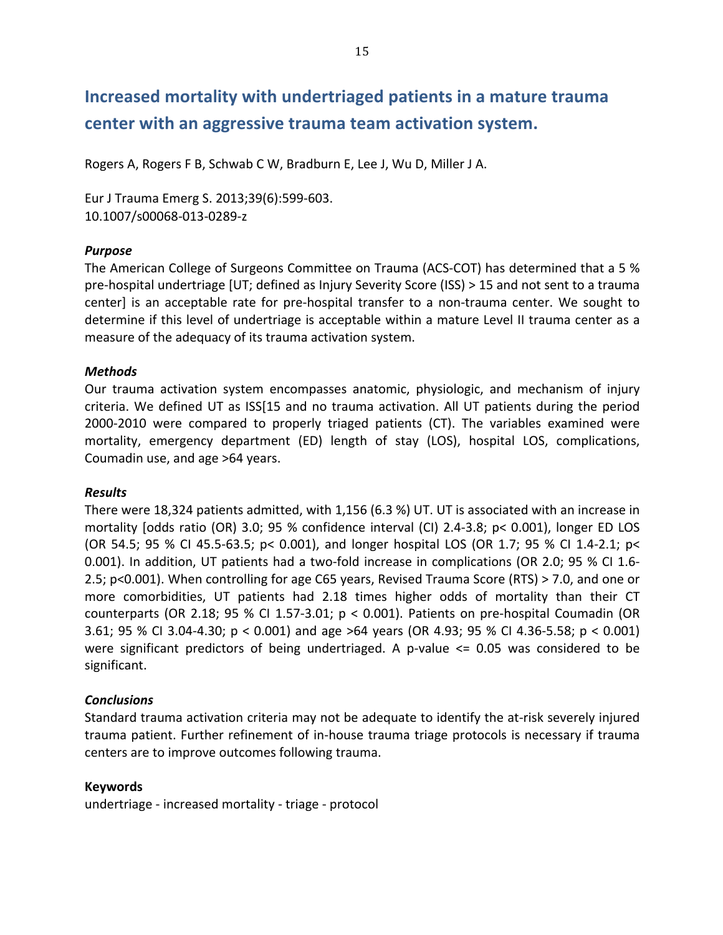## Increased mortality with undertriaged patients in a mature trauma center with an aggressive trauma team activation system.

Rogers A, Rogers F B, Schwab C W, Bradburn E, Lee J, Wu D, Miller J A.

Eur J Trauma Emerg S. 2013;39(6):599-603. 10.1007/s00068-013-0289-z

#### *Purpose*

The American College of Surgeons Committee on Trauma (ACS-COT) has determined that a 5 % pre-hospital undertriage [UT; defined as Injury Severity Score (ISS) > 15 and not sent to a trauma center] is an acceptable rate for pre-hospital transfer to a non-trauma center. We sought to determine if this level of undertriage is acceptable within a mature Level II trauma center as a measure of the adequacy of its trauma activation system.

#### *Methods*

Our trauma activation system encompasses anatomic, physiologic, and mechanism of injury criteria. We defined UT as ISS[15 and no trauma activation. All UT patients during the period 2000-2010 were compared to properly triaged patients (CT). The variables examined were mortality, emergency department (ED) length of stay (LOS), hospital LOS, complications, Coumadin use, and age >64 years.

#### *Results*

There were 18,324 patients admitted, with 1,156 (6.3 %) UT. UT is associated with an increase in mortality  $[odds \text{ ratio } (OR) \text{ } 3.0; 95 \text{ } \% \text{ confidence interval } (Cl) \text{ } 2.4-3.8; \text{ } p<0.001), \text{ longer ED } LOS$ (OR 54.5; 95 % CI 45.5-63.5; p< 0.001), and longer hospital LOS (OR 1.7; 95 % CI 1.4-2.1; p< 0.001). In addition, UT patients had a two-fold increase in complications (OR 2.0; 95 % CI 1.6-2.5; p<0.001). When controlling for age C65 years, Revised Trauma Score (RTS) > 7.0, and one or more comorbidities, UT patients had 2.18 times higher odds of mortality than their CT counterparts (OR 2.18; 95 % CI 1.57-3.01;  $p < 0.001$ ). Patients on pre-hospital Coumadin (OR 3.61; 95 % CI 3.04-4.30;  $p < 0.001$  and age >64 years (OR 4.93; 95 % CI 4.36-5.58;  $p < 0.001$ ) were significant predictors of being undertriaged. A p-value  $\leq$  0.05 was considered to be significant.

#### *Conclusions*

Standard trauma activation criteria may not be adequate to identify the at-risk severely injured trauma patient. Further refinement of in-house trauma triage protocols is necessary if trauma centers are to improve outcomes following trauma.

#### **Keywords**

undertriage - increased mortality - triage - protocol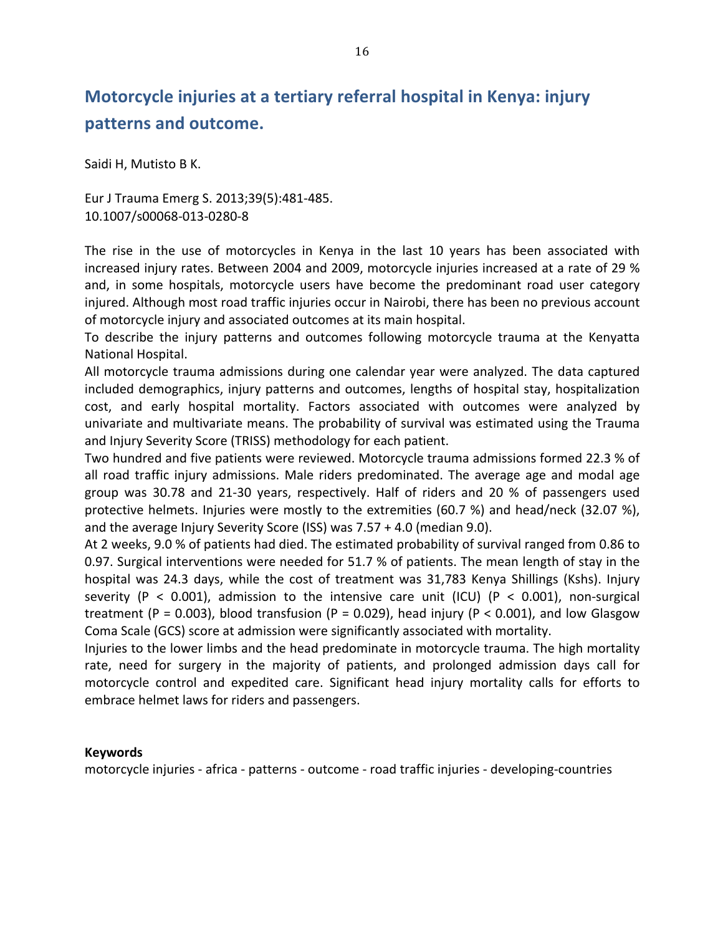# **Motorcycle injuries at a tertiary referral hospital in Kenya: injury patterns'and'outcome.**

Saidi H, Mutisto B K.

Eur J Trauma Emerg S. 2013;39(5):481-485. 10.1007/s00068-013-0280-8

The rise in the use of motorcycles in Kenya in the last 10 years has been associated with increased injury rates. Between 2004 and 2009, motorcycle injuries increased at a rate of 29 % and, in some hospitals, motorcycle users have become the predominant road user category injured. Although most road traffic injuries occur in Nairobi, there has been no previous account of motorcycle injury and associated outcomes at its main hospital.

To describe the injury patterns and outcomes following motorcycle trauma at the Kenyatta National Hospital.

All motorcycle trauma admissions during one calendar year were analyzed. The data captured included demographics, injury patterns and outcomes, lengths of hospital stay, hospitalization cost, and early hospital mortality. Factors associated with outcomes were analyzed by univariate and multivariate means. The probability of survival was estimated using the Trauma and Injury Severity Score (TRISS) methodology for each patient.

Two hundred and five patients were reviewed. Motorcycle trauma admissions formed 22.3 % of all road traffic injury admissions. Male riders predominated. The average age and modal age group was 30.78 and 21-30 years, respectively. Half of riders and 20 % of passengers used protective helmets. Injuries were mostly to the extremities (60.7 %) and head/neck (32.07 %), and the average Injury Severity Score (ISS) was  $7.57 + 4.0$  (median 9.0).

At 2 weeks, 9.0 % of patients had died. The estimated probability of survival ranged from 0.86 to 0.97. Surgical interventions were needed for 51.7 % of patients. The mean length of stay in the hospital was 24.3 days, while the cost of treatment was 31,783 Kenya Shillings (Kshs). Injury severity (P < 0.001), admission to the intensive care unit (ICU) (P < 0.001), non-surgical treatment (P = 0.003), blood transfusion (P = 0.029), head injury (P < 0.001), and low Glasgow Coma Scale (GCS) score at admission were significantly associated with mortality.

Injuries to the lower limbs and the head predominate in motorcycle trauma. The high mortality rate, need for surgery in the majority of patients, and prolonged admission days call for motorcycle control and expedited care. Significant head injury mortality calls for efforts to embrace helmet laws for riders and passengers.

#### **Keywords**

motorcycle injuries - africa - patterns - outcome - road traffic injuries - developing-countries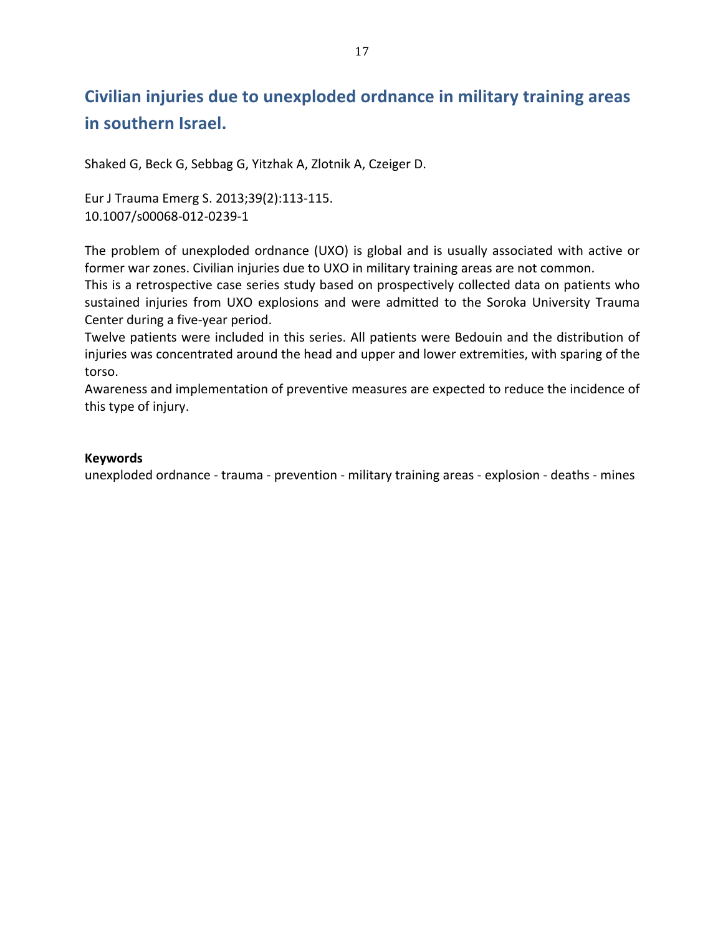# **Civilian'injuries'due'to'unexploded'ordnance'in'military'training'areas' in'southern'Israel.**

Shaked G, Beck G, Sebbag G, Yitzhak A, Zlotnik A, Czeiger D.

Eur J Trauma Emerg S. 2013;39(2):113-115. 10.1007/s00068-012-0239-1

The problem of unexploded ordnance (UXO) is global and is usually associated with active or former war zones. Civilian injuries due to UXO in military training areas are not common.

This is a retrospective case series study based on prospectively collected data on patients who sustained injuries from UXO explosions and were admitted to the Soroka University Trauma Center during a five-year period.

Twelve patients were included in this series. All patients were Bedouin and the distribution of injuries was concentrated around the head and upper and lower extremities, with sparing of the torso.

Awareness and implementation of preventive measures are expected to reduce the incidence of this type of injury.

#### **Keywords**

unexploded ordnance - trauma - prevention - military training areas - explosion - deaths - mines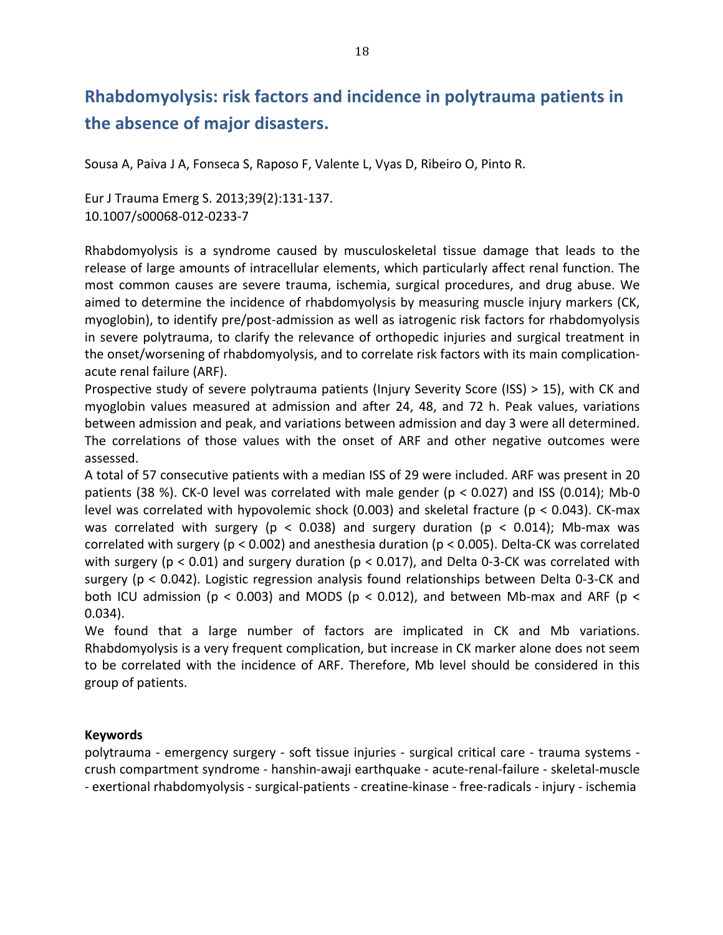# **Rhabdomyolysis: risk factors and incidence in polytrauma patients in** the absence of major disasters.

Sousa A, Paiva J A, Fonseca S, Raposo F, Valente L, Vyas D, Ribeiro O, Pinto R.

Eur J Trauma Emerg S. 2013;39(2):131-137. 10.1007/s00068-012-0233-7

Rhabdomyolysis is a syndrome caused by musculoskeletal tissue damage that leads to the release of large amounts of intracellular elements, which particularly affect renal function. The most common causes are severe trauma, ischemia, surgical procedures, and drug abuse. We aimed to determine the incidence of rhabdomyolysis by measuring muscle injury markers (CK, myoglobin), to identify pre/post-admission as well as iatrogenic risk factors for rhabdomyolysis in severe polytrauma, to clarify the relevance of orthopedic injuries and surgical treatment in the onset/worsening of rhabdomyolysis, and to correlate risk factors with its main complicationacute renal failure (ARF).

Prospective study of severe polytrauma patients (Injury Severity Score (ISS) > 15), with CK and myoglobin values measured at admission and after 24, 48, and 72 h. Peak values, variations between admission and peak, and variations between admission and day 3 were all determined. The correlations of those values with the onset of ARF and other negative outcomes were assessed.

A total of 57 consecutive patients with a median ISS of 29 were included. ARF was present in 20 patients (38 %). CK-0 level was correlated with male gender ( $p < 0.027$ ) and ISS (0.014); Mb-0 level was correlated with hypovolemic shock (0.003) and skeletal fracture (p < 0.043). CK-max was correlated with surgery (p < 0.038) and surgery duration (p < 0.014); Mb-max was correlated with surgery (p < 0.002) and anesthesia duration (p < 0.005). Delta-CK was correlated with surgery (p < 0.01) and surgery duration (p < 0.017), and Delta 0-3-CK was correlated with surgery ( $p < 0.042$ ). Logistic regression analysis found relationships between Delta 0-3-CK and both ICU admission (p < 0.003) and MODS (p < 0.012), and between Mb-max and ARF (p < 0.034).

We found that a large number of factors are implicated in CK and Mb variations. Rhabdomyolysis is a very frequent complication, but increase in CK marker alone does not seem to be correlated with the incidence of ARF. Therefore, Mb level should be considered in this group of patients.

#### **Keywords**

polytrauma - emergency surgery - soft tissue injuries - surgical critical care - trauma systems crush compartment syndrome - hanshin-awaji earthquake - acute-renal-failure - skeletal-muscle - exertional rhabdomyolysis - surgical-patients - creatine-kinase - free-radicals - injury - ischemia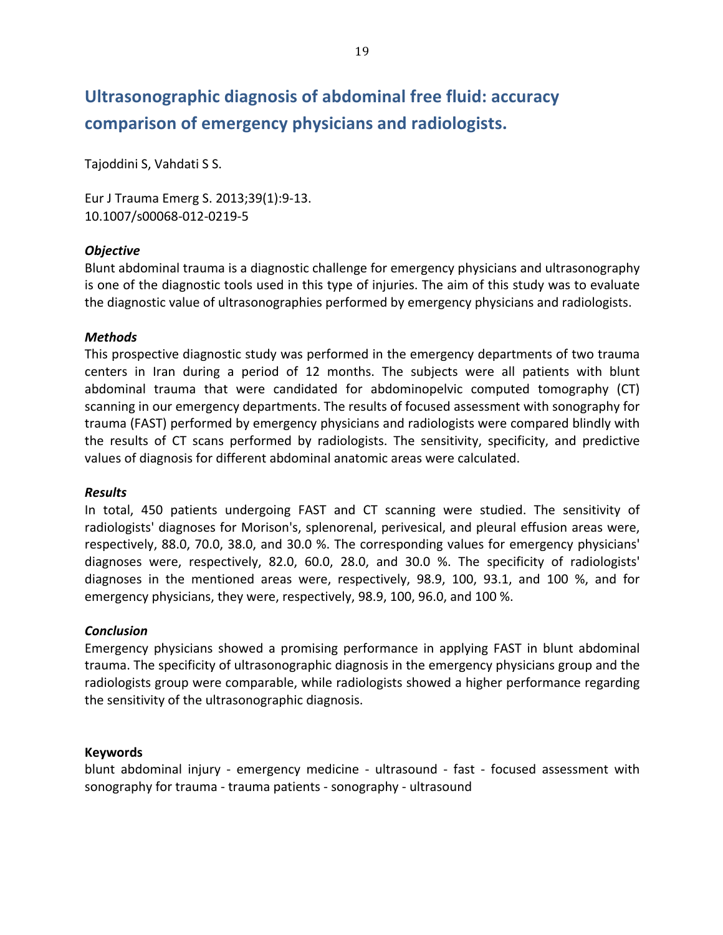# **Ultrasonographic diagnosis of abdominal free fluid: accuracy comparison'of'emergency'physicians'and'radiologists.**

Tajoddini S, Vahdati S S.

Eur J Trauma Emerg S. 2013;39(1):9-13. 10.1007/s00068-012-0219-5

#### *Objective)*

Blunt abdominal trauma is a diagnostic challenge for emergency physicians and ultrasonography is one of the diagnostic tools used in this type of injuries. The aim of this study was to evaluate the diagnostic value of ultrasonographies performed by emergency physicians and radiologists.

#### *Methods*

This prospective diagnostic study was performed in the emergency departments of two trauma centers in Iran during a period of 12 months. The subjects were all patients with blunt abdominal trauma that were candidated for abdominopelvic computed tomography (CT) scanning in our emergency departments. The results of focused assessment with sonography for trauma (FAST) performed by emergency physicians and radiologists were compared blindly with the results of CT scans performed by radiologists. The sensitivity, specificity, and predictive values of diagnosis for different abdominal anatomic areas were calculated.

#### *Results*

In total, 450 patients undergoing FAST and CT scanning were studied. The sensitivity of radiologists' diagnoses for Morison's, splenorenal, perivesical, and pleural effusion areas were, respectively, 88.0, 70.0, 38.0, and 30.0 %. The corresponding values for emergency physicians' diagnoses were, respectively, 82.0, 60.0, 28.0, and 30.0 %. The specificity of radiologists' diagnoses in the mentioned areas were, respectively, 98.9, 100, 93.1, and 100 %, and for emergency physicians, they were, respectively, 98.9, 100, 96.0, and 100 %.

#### *Conclusion*

Emergency physicians showed a promising performance in applying FAST in blunt abdominal trauma. The specificity of ultrasonographic diagnosis in the emergency physicians group and the radiologists group were comparable, while radiologists showed a higher performance regarding the sensitivity of the ultrasonographic diagnosis.

#### **Keywords**

blunt abdominal injury - emergency medicine - ultrasound - fast - focused assessment with sonography for trauma - trauma patients - sonography - ultrasound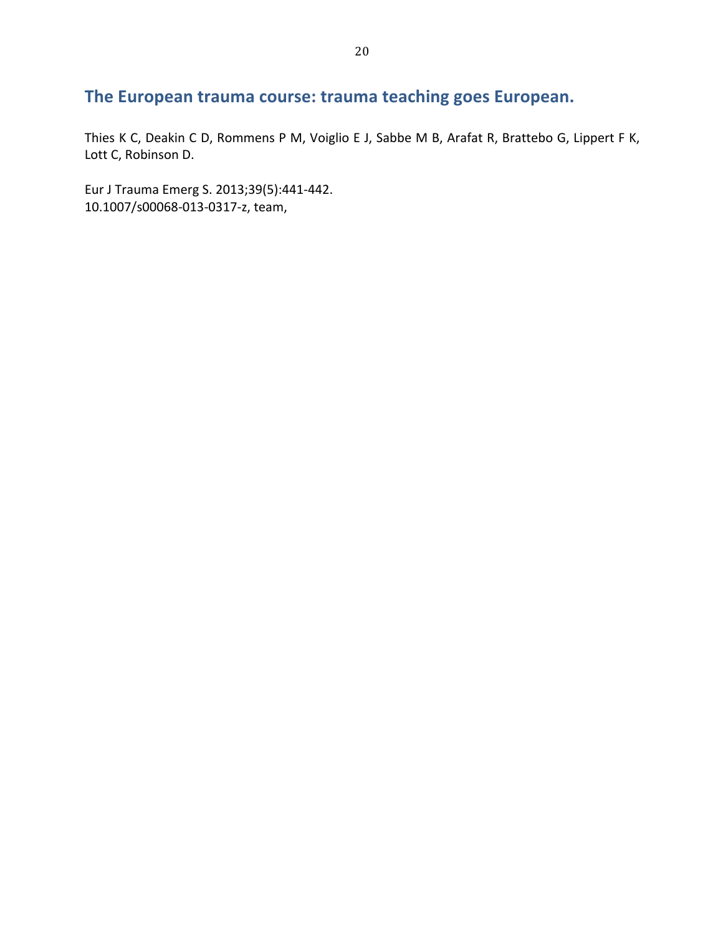# The European trauma course: trauma teaching goes European.

Thies K C, Deakin C D, Rommens P M, Voiglio E J, Sabbe M B, Arafat R, Brattebo G, Lippert F K, Lott C, Robinson D.

Eur J Trauma Emerg S. 2013;39(5):441-442. 10.1007/s00068-013-0317-z, team,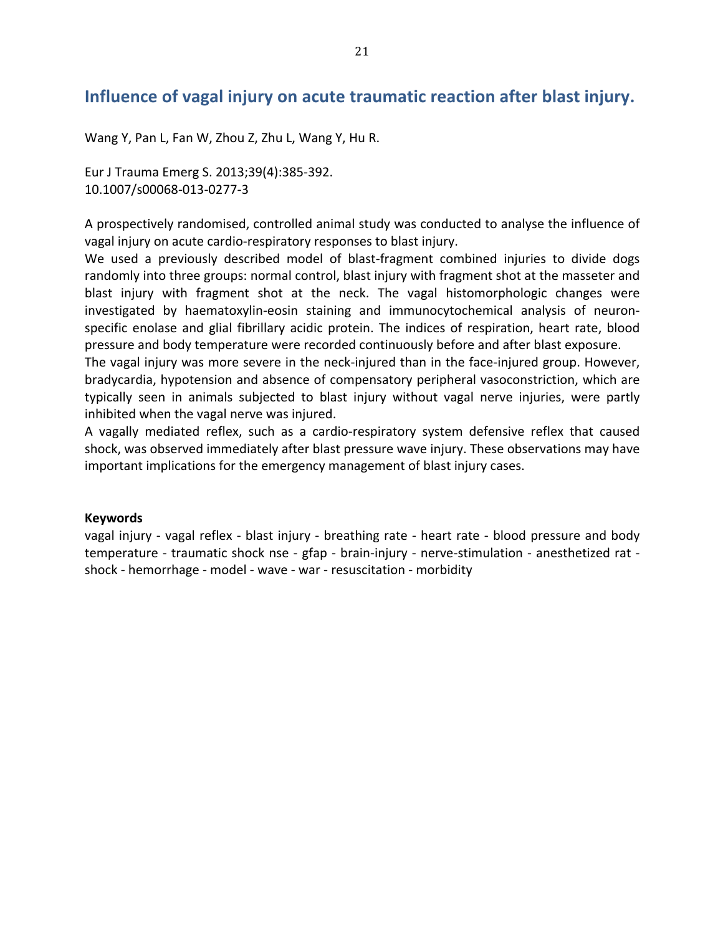### Influence of vagal injury on acute traumatic reaction after blast injury.

Wang Y, Pan L, Fan W, Zhou Z, Zhu L, Wang Y, Hu R.

Eur J Trauma Emerg S. 2013;39(4):385-392. 10.1007/s00068-013-0277-3

A prospectively randomised, controlled animal study was conducted to analyse the influence of vagal injury on acute cardio-respiratory responses to blast injury.

We used a previously described model of blast-fragment combined injuries to divide dogs randomly into three groups: normal control, blast injury with fragment shot at the masseter and blast injury with fragment shot at the neck. The vagal histomorphologic changes were investigated by haematoxylin-eosin staining and immunocytochemical analysis of neuronspecific enolase and glial fibrillary acidic protein. The indices of respiration, heart rate, blood pressure and body temperature were recorded continuously before and after blast exposure.

The vagal injury was more severe in the neck-injured than in the face-injured group. However, bradycardia, hypotension and absence of compensatory peripheral vasoconstriction, which are typically seen in animals subjected to blast injury without vagal nerve injuries, were partly inhibited when the vagal nerve was injured.

A vagally mediated reflex, such as a cardio-respiratory system defensive reflex that caused shock, was observed immediately after blast pressure wave injury. These observations may have important implications for the emergency management of blast injury cases.

#### **Keywords**

vagal injury - vagal reflex - blast injury - breathing rate - heart rate - blood pressure and body temperature - traumatic shock nse - gfap - brain-injury - nerve-stimulation - anesthetized rat shock - hemorrhage - model - wave - war - resuscitation - morbidity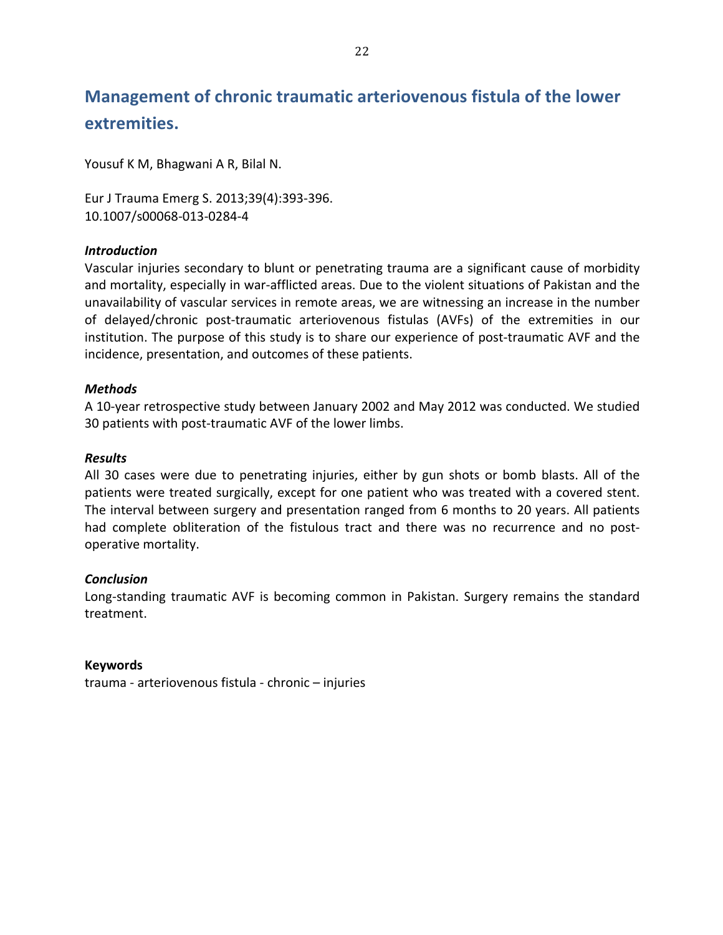# **Management of chronic traumatic arteriovenous fistula of the lower extremities.**

Yousuf K M, Bhagwani A R, Bilal N.

Eur J Trauma Emerg S. 2013;39(4):393-396. 10.1007/s00068-013-0284-4

#### *Introduction*

Vascular injuries secondary to blunt or penetrating trauma are a significant cause of morbidity and mortality, especially in war-afflicted areas. Due to the violent situations of Pakistan and the unavailability of vascular services in remote areas, we are witnessing an increase in the number of delayed/chronic post-traumatic arteriovenous fistulas (AVFs) of the extremities in our institution. The purpose of this study is to share our experience of post-traumatic AVF and the incidence, presentation, and outcomes of these patients.

#### *Methods*

A 10-year retrospective study between January 2002 and May 2012 was conducted. We studied 30 patients with post-traumatic AVF of the lower limbs.

#### *Results*

All 30 cases were due to penetrating injuries, either by gun shots or bomb blasts. All of the patients were treated surgically, except for one patient who was treated with a covered stent. The interval between surgery and presentation ranged from 6 months to 20 years. All patients had complete obliteration of the fistulous tract and there was no recurrence and no postoperative mortality.

#### *Conclusion*

Long-standing traumatic AVF is becoming common in Pakistan. Surgery remains the standard treatment.

#### **Keywords**

trauma - arteriovenous fistula - chronic – injuries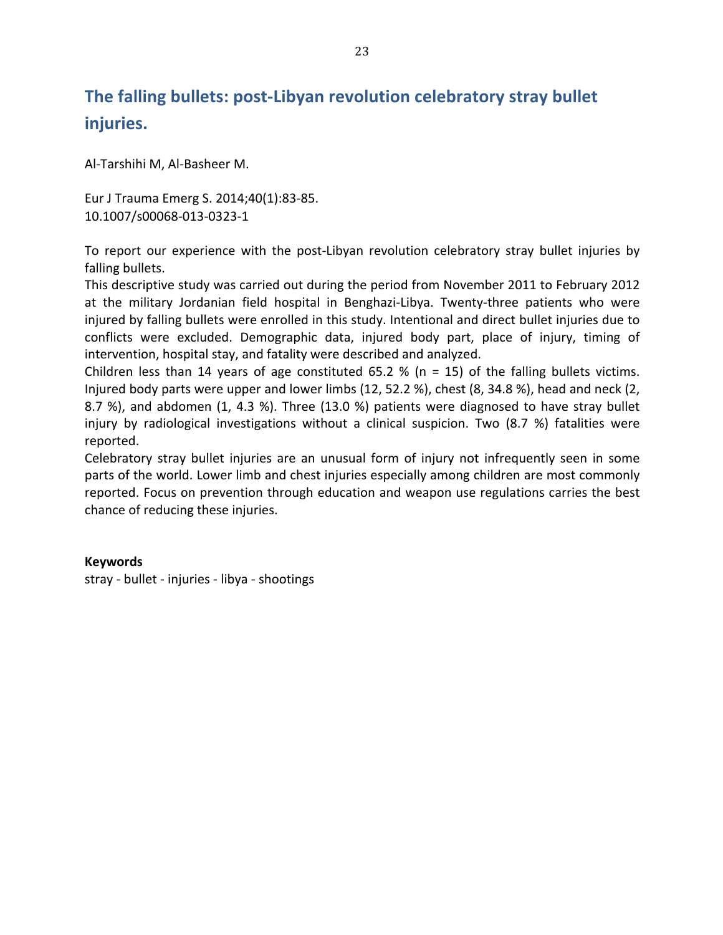## The falling bullets: post-Libyan revolution celebratory stray bullet **injuries.**

Al-Tarshihi M, Al-Basheer M.

Eur J Trauma Emerg S. 2014;40(1):83-85. 10.1007/s00068-013-0323-1

To report our experience with the post-Libyan revolution celebratory stray bullet injuries by falling bullets.

This descriptive study was carried out during the period from November 2011 to February 2012 at the military Jordanian field hospital in Benghazi-Libya. Twenty-three patients who were injured by falling bullets were enrolled in this study. Intentional and direct bullet injuries due to conflicts were excluded. Demographic data, injured body part, place of injury, timing of intervention, hospital stay, and fatality were described and analyzed.

Children less than 14 years of age constituted 65.2 % (n = 15) of the falling bullets victims. Injured body parts were upper and lower limbs (12, 52.2 %), chest (8, 34.8 %), head and neck (2, 8.7 %), and abdomen (1, 4.3 %). Three (13.0 %) patients were diagnosed to have stray bullet injury by radiological investigations without a clinical suspicion. Two (8.7 %) fatalities were reported.

Celebratory stray bullet injuries are an unusual form of injury not infrequently seen in some parts of the world. Lower limb and chest injuries especially among children are most commonly reported. Focus on prevention through education and weapon use regulations carries the best chance of reducing these injuries.

#### **Keywords**

stray - bullet - injuries - libya - shootings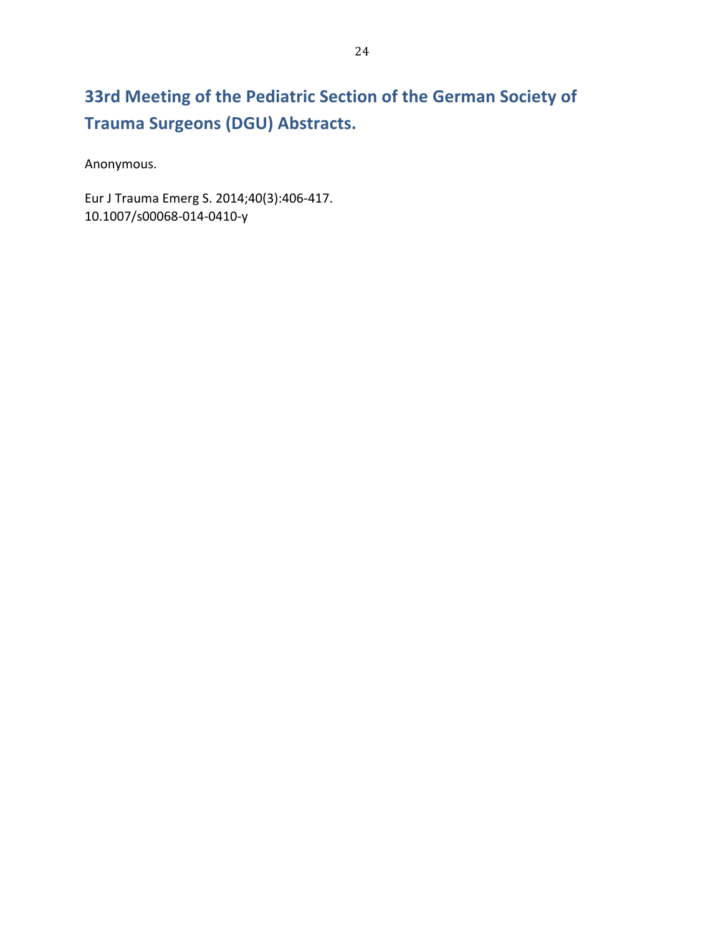# **33rd Meeting of the Pediatric Section of the German Society of Trauma Surgeons (DGU) Abstracts.**

Anonymous.!

Eur J Trauma Emerg S. 2014;40(3):406-417. 10.1007/s00068-014-0410-y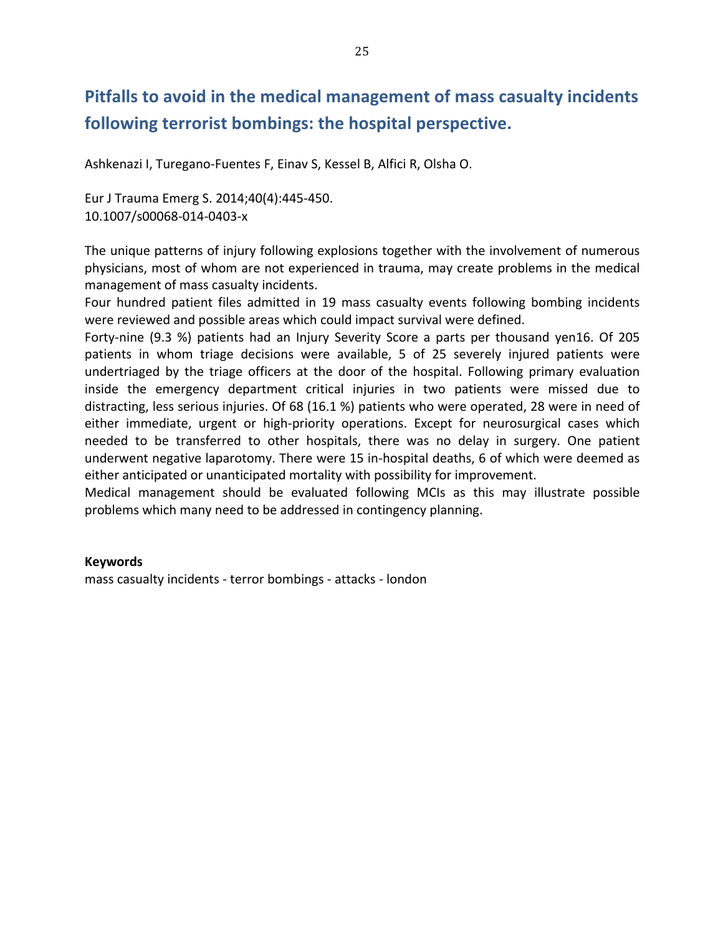## Pitfalls to avoid in the medical management of mass casualty incidents following terrorist bombings: the hospital perspective.

Ashkenazi I, Turegano-Fuentes F, Einav S, Kessel B, Alfici R, Olsha O.

Eur J Trauma Emerg S. 2014;40(4):445-450. 10.1007/s00068-014-0403-x

The unique patterns of injury following explosions together with the involvement of numerous physicians, most of whom are not experienced in trauma, may create problems in the medical management of mass casualty incidents.

Four hundred patient files admitted in 19 mass casualty events following bombing incidents were reviewed and possible areas which could impact survival were defined.

Forty-nine (9.3 %) patients had an Injury Severity Score a parts per thousand yen16. Of 205 patients in whom triage decisions were available, 5 of 25 severely injured patients were undertriaged by the triage officers at the door of the hospital. Following primary evaluation inside the emergency department critical injuries in two patients were missed due to distracting, less serious injuries. Of 68 (16.1 %) patients who were operated, 28 were in need of either immediate, urgent or high-priority operations. Except for neurosurgical cases which needed to be transferred to other hospitals, there was no delay in surgery. One patient underwent negative laparotomy. There were 15 in-hospital deaths, 6 of which were deemed as either anticipated or unanticipated mortality with possibility for improvement.

Medical management should be evaluated following MCIs as this may illustrate possible problems which many need to be addressed in contingency planning.

#### **Keywords**

mass casualty incidents - terror bombings - attacks - london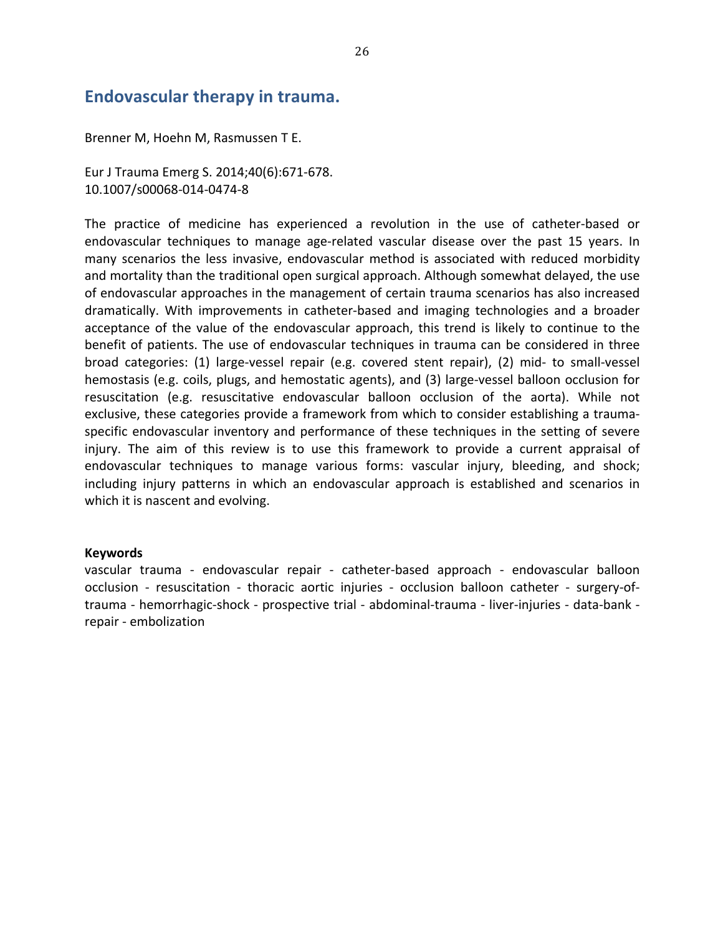### Endovascular therapy in trauma.

Brenner M, Hoehn M, Rasmussen T E.

Eur J Trauma Emerg S. 2014;40(6):671-678. 10.1007/s00068-014-0474-8

The practice of medicine has experienced a revolution in the use of catheter-based or endovascular techniques to manage age-related vascular disease over the past 15 years. In many scenarios the less invasive, endovascular method is associated with reduced morbidity and mortality than the traditional open surgical approach. Although somewhat delayed, the use of endovascular approaches in the management of certain trauma scenarios has also increased dramatically. With improvements in catheter-based and imaging technologies and a broader acceptance of the value of the endovascular approach, this trend is likely to continue to the benefit of patients. The use of endovascular techniques in trauma can be considered in three broad categories: (1) large-vessel repair (e.g. covered stent repair), (2) mid- to small-vessel hemostasis (e.g. coils, plugs, and hemostatic agents), and (3) large-vessel balloon occlusion for resuscitation (e.g. resuscitative endovascular balloon occlusion of the aorta). While not exclusive, these categories provide a framework from which to consider establishing a traumaspecific endovascular inventory and performance of these techniques in the setting of severe injury. The aim of this review is to use this framework to provide a current appraisal of endovascular techniques to manage various forms: vascular injury, bleeding, and shock; including injury patterns in which an endovascular approach is established and scenarios in which it is nascent and evolving.

#### **Keywords**

vascular trauma - endovascular repair - catheter-based approach - endovascular balloon occlusion - resuscitation - thoracic aortic injuries - occlusion balloon catheter - surgery-oftrauma - hemorrhagic-shock - prospective trial - abdominal-trauma - liver-injuries - data-bank repair - embolization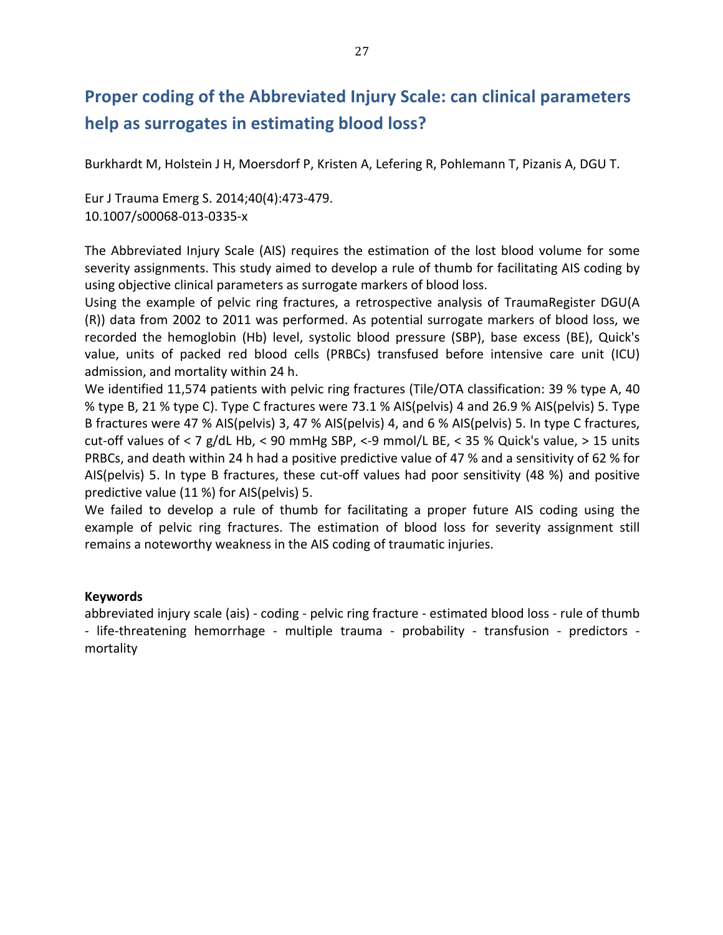### **Proper coding of the Abbreviated Injury Scale: can clinical parameters** help as surrogates in estimating blood loss?

Burkhardt M, Holstein J H, Moersdorf P, Kristen A, Lefering R, Pohlemann T, Pizanis A, DGU T.

Eur J Trauma Emerg S. 2014;40(4):473-479. 10.1007/s00068-013-0335-x

The Abbreviated Injury Scale (AIS) requires the estimation of the lost blood volume for some severity assignments. This study aimed to develop a rule of thumb for facilitating AIS coding by using objective clinical parameters as surrogate markers of blood loss.

Using the example of pelvic ring fractures, a retrospective analysis of TraumaRegister DGU(A (R)) data from 2002 to 2011 was performed. As potential surrogate markers of blood loss, we recorded the hemoglobin (Hb) level, systolic blood pressure (SBP), base excess (BE), Quick's value, units of packed red blood cells (PRBCs) transfused before intensive care unit (ICU) admission, and mortality within 24 h.

We identified 11,574 patients with pelvic ring fractures (Tile/OTA classification: 39 % type A, 40 % type B, 21 % type C). Type C fractures were 73.1 % AIS(pelvis) 4 and 26.9 % AIS(pelvis) 5. Type B fractures were 47 % AIS(pelvis) 3, 47 % AIS(pelvis) 4, and 6 % AIS(pelvis) 5. In type C fractures, cut-off values of < 7 g/dL Hb, < 90 mmHg SBP, <-9 mmol/L BE, < 35 % Quick's value, > 15 units PRBCs, and death within 24 h had a positive predictive value of 47 % and a sensitivity of 62 % for AIS(pelvis) 5. In type B fractures, these cut-off values had poor sensitivity (48 %) and positive predictive value (11 %) for AIS(pelvis) 5.

We failed to develop a rule of thumb for facilitating a proper future AIS coding using the example of pelvic ring fractures. The estimation of blood loss for severity assignment still remains a noteworthy weakness in the AIS coding of traumatic injuries.

#### **Keywords**

abbreviated injury scale (ais) - coding - pelvic ring fracture - estimated blood loss - rule of thumb - life-threatening hemorrhage - multiple trauma - probability - transfusion - predictors mortality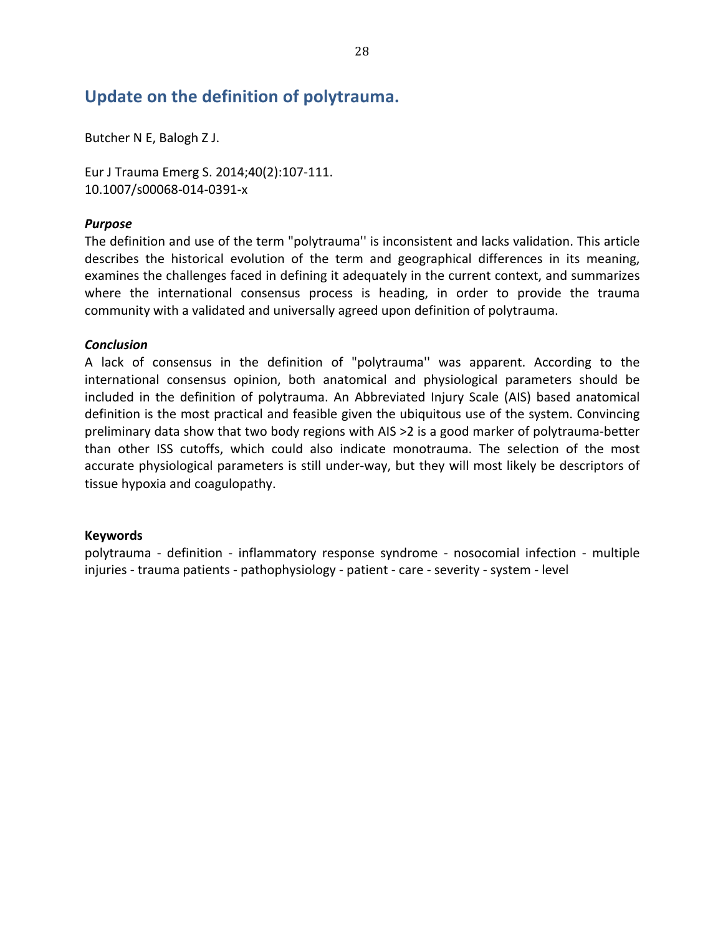### Update on the definition of polytrauma.

Butcher N E, Balogh Z J.

Eur J Trauma Emerg S. 2014;40(2):107-111. 10.1007/s00068-014-0391-x

#### *Purpose*

The definition and use of the term "polytrauma" is inconsistent and lacks validation. This article describes the historical evolution of the term and geographical differences in its meaning, examines the challenges faced in defining it adequately in the current context, and summarizes where the international consensus process is heading, in order to provide the trauma community with a validated and universally agreed upon definition of polytrauma.

#### *Conclusion*

A lack of consensus in the definition of "polytrauma" was apparent. According to the international consensus opinion, both anatomical and physiological parameters should be included in the definition of polytrauma. An Abbreviated Injury Scale (AIS) based anatomical definition is the most practical and feasible given the ubiquitous use of the system. Convincing preliminary data show that two body regions with AIS >2 is a good marker of polytrauma-better than other ISS cutoffs, which could also indicate monotrauma. The selection of the most accurate physiological parameters is still under-way, but they will most likely be descriptors of tissue hypoxia and coagulopathy.

#### **Keywords**

polytrauma - definition - inflammatory response syndrome - nosocomial infection - multiple injuries - trauma patients - pathophysiology - patient - care - severity - system - level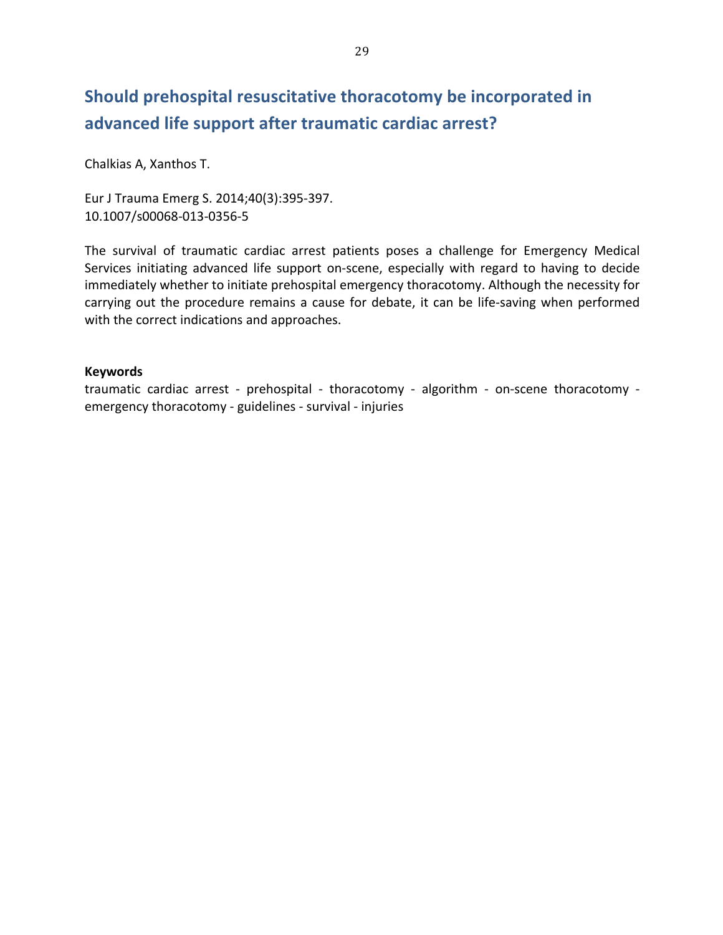## Should prehospital resuscitative thoracotomy be incorporated in advanced life support after traumatic cardiac arrest?

Chalkias A, Xanthos T.

Eur J Trauma Emerg S. 2014;40(3):395-397. 10.1007/s00068-013-0356-5

The survival of traumatic cardiac arrest patients poses a challenge for Emergency Medical Services initiating advanced life support on-scene, especially with regard to having to decide immediately whether to initiate prehospital emergency thoracotomy. Although the necessity for carrying out the procedure remains a cause for debate, it can be life-saving when performed with the correct indications and approaches.

#### **Keywords**

traumatic cardiac arrest - prehospital - thoracotomy - algorithm - on-scene thoracotomy emergency thoracotomy - guidelines - survival - injuries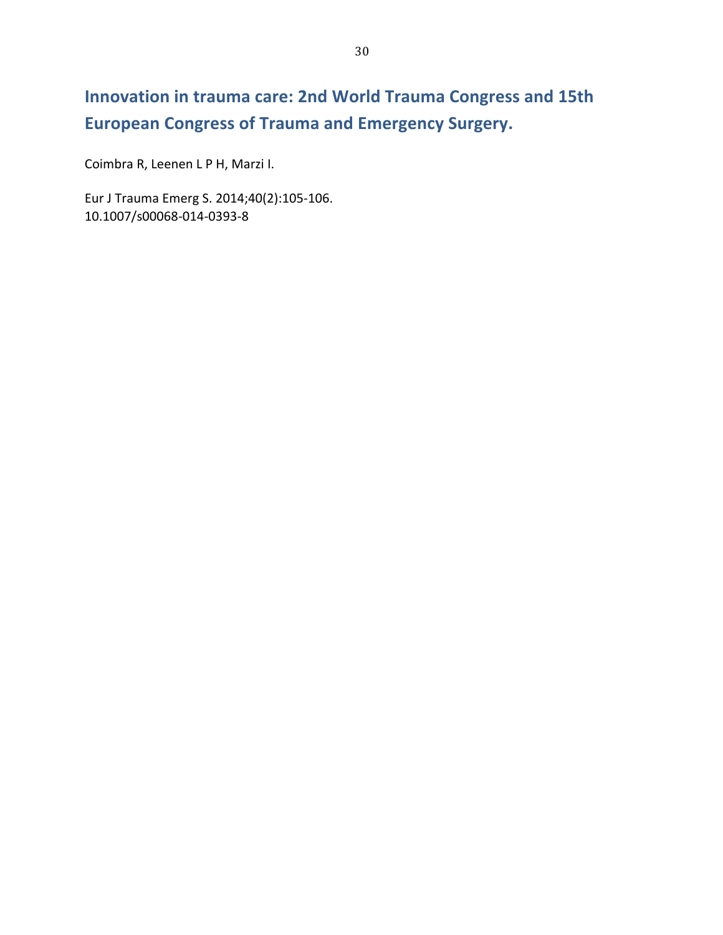# **Innovation in trauma care: 2nd World Trauma Congress and 15th European Congress of Trauma and Emergency Surgery.**

Coimbra R, Leenen L P H, Marzi I.

Eur J Trauma Emerg S. 2014;40(2):105-106. 10.1007/s00068-014-0393-8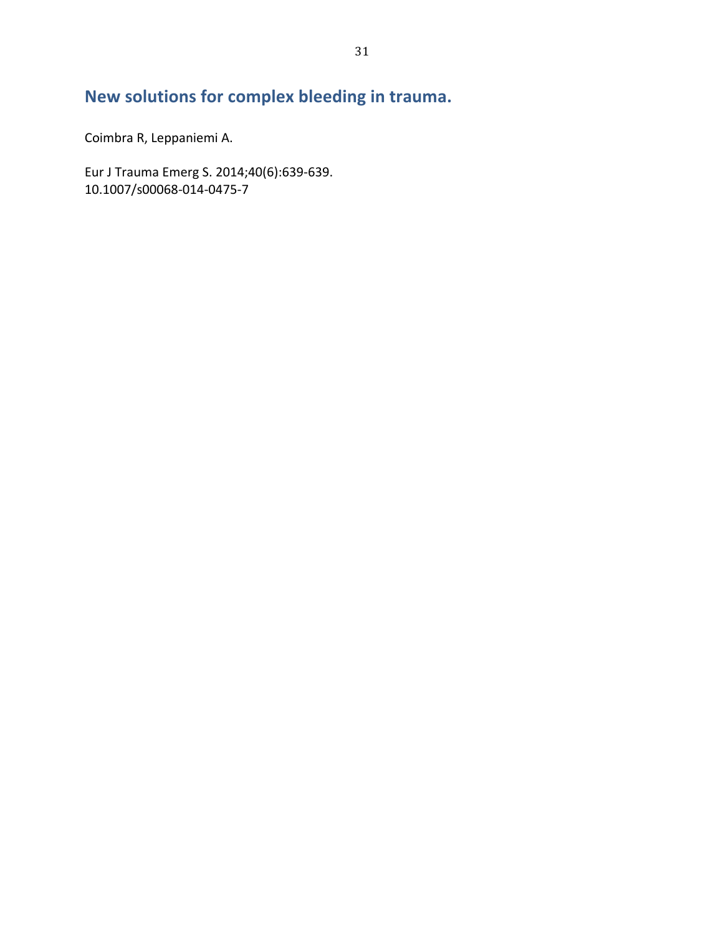## New solutions for complex bleeding in trauma.

Coimbra R, Leppaniemi A.

Eur J Trauma Emerg S. 2014;40(6):639-639. 10.1007/s00068-014-0475-7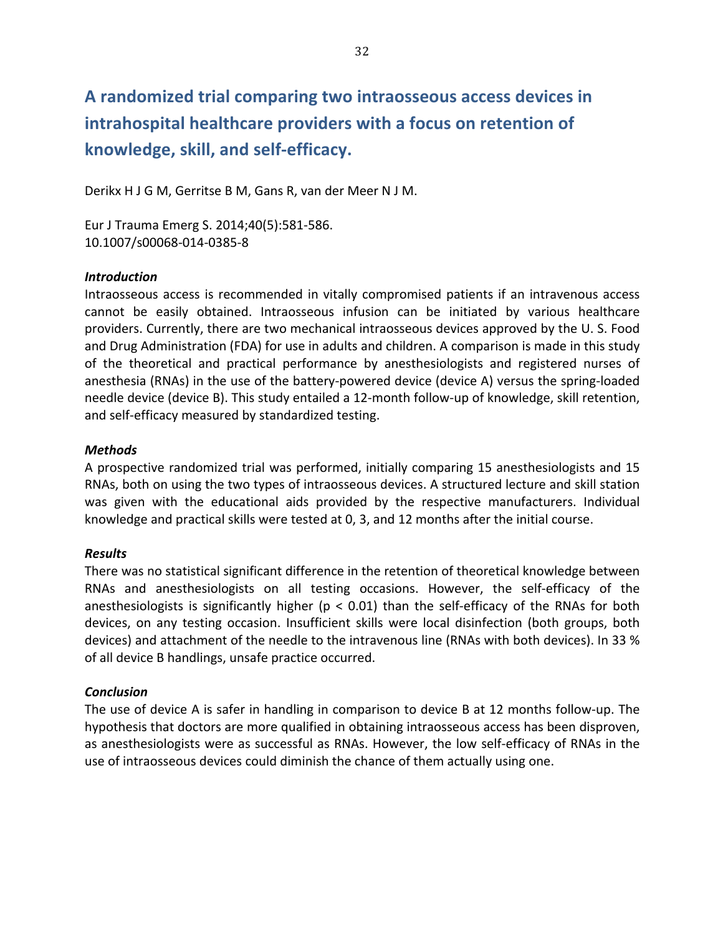**A'randomized'trial'comparing'two'intraosseous'access'devices'in'** intrahospital healthcare providers with a focus on retention of knowledge, skill, and self-efficacy.

Derikx H J G M, Gerritse B M, Gans R, van der Meer N J M.

Eur J Trauma Emerg S. 2014;40(5):581-586. 10.1007/s00068-014-0385-8

#### *Introduction*

Intraosseous access is recommended in vitally compromised patients if an intravenous access cannot be easily obtained. Intraosseous infusion can be initiated by various healthcare providers. Currently, there are two mechanical intraosseous devices approved by the U. S. Food and Drug Administration (FDA) for use in adults and children. A comparison is made in this study of the theoretical and practical performance by anesthesiologists and registered nurses of anesthesia (RNAs) in the use of the battery-powered device (device A) versus the spring-loaded needle device (device B). This study entailed a 12-month follow-up of knowledge, skill retention, and self-efficacy measured by standardized testing.

#### *Methods*

A prospective randomized trial was performed, initially comparing 15 anesthesiologists and 15 RNAs, both on using the two types of intraosseous devices. A structured lecture and skill station was given with the educational aids provided by the respective manufacturers. Individual knowledge and practical skills were tested at 0, 3, and 12 months after the initial course.

#### *Results*

There was no statistical significant difference in the retention of theoretical knowledge between RNAs and anesthesiologists on all testing occasions. However, the self-efficacy of the anesthesiologists is significantly higher ( $p < 0.01$ ) than the self-efficacy of the RNAs for both devices, on any testing occasion. Insufficient skills were local disinfection (both groups, both devices) and attachment of the needle to the intravenous line (RNAs with both devices). In 33 % of all device B handlings, unsafe practice occurred.

#### *Conclusion*

The use of device A is safer in handling in comparison to device B at 12 months follow-up. The hypothesis that doctors are more qualified in obtaining intraosseous access has been disproven, as anesthesiologists were as successful as RNAs. However, the low self-efficacy of RNAs in the use of intraosseous devices could diminish the chance of them actually using one.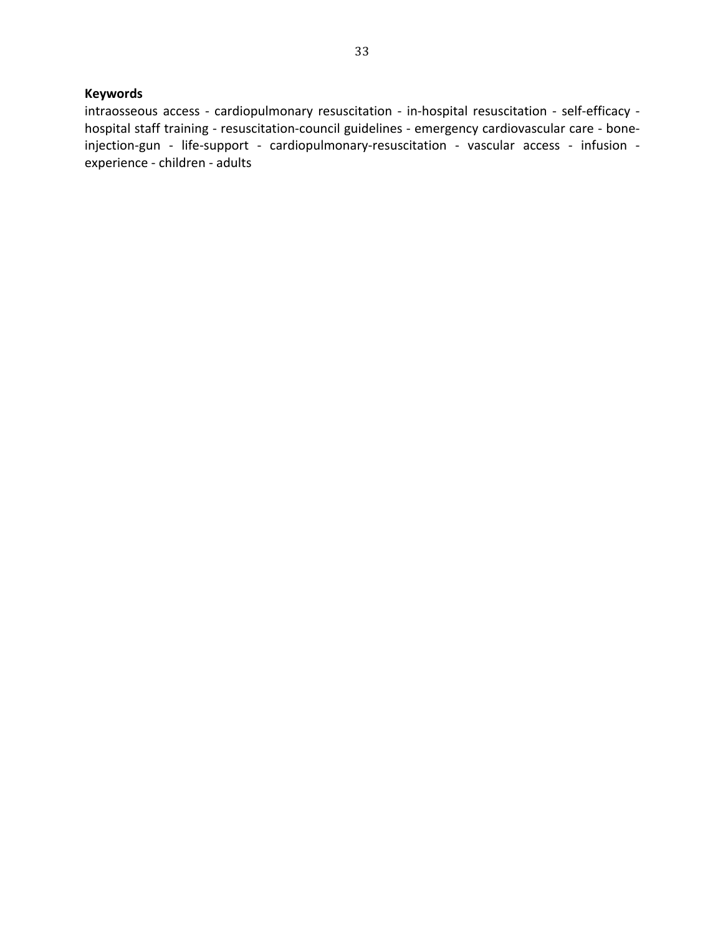#### **Keywords**

intraosseous access - cardiopulmonary resuscitation - in-hospital resuscitation - self-efficacy hospital staff training - resuscitation-council guidelines - emergency cardiovascular care - boneinjection-gun - life-support - cardiopulmonary-resuscitation - vascular access - infusion experience - children - adults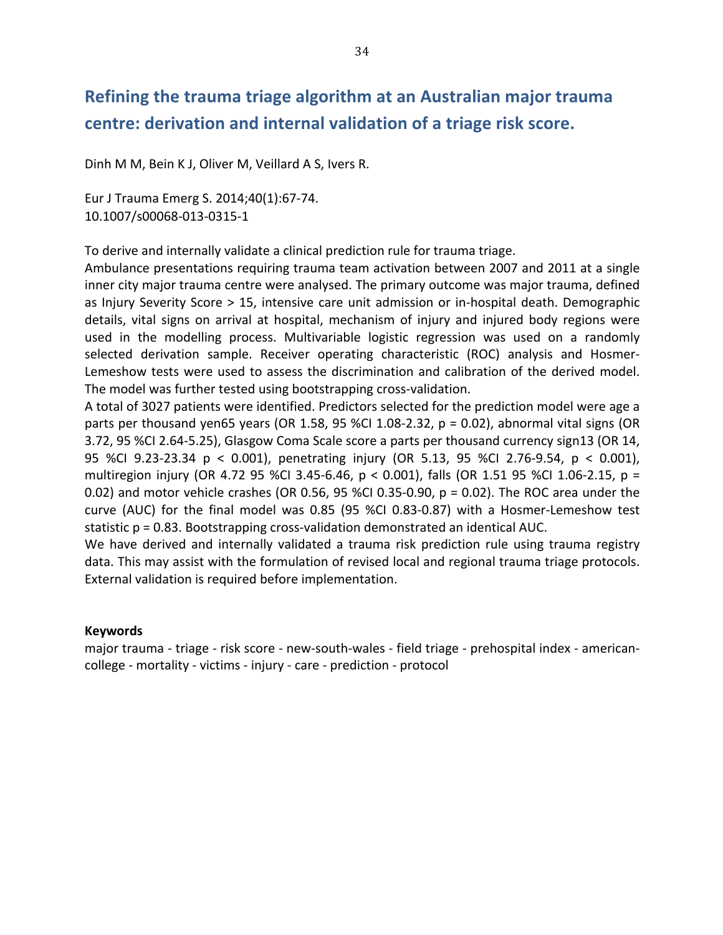### **Refining'the'trauma'triage'algorithm'at'an'Australian'major trauma'** centre: derivation and internal validation of a triage risk score.

Dinh M M, Bein K J, Oliver M, Veillard A S, Ivers R.

Eur J Trauma Emerg S. 2014;40(1):67-74. 10.1007/s00068-013-0315-1

To derive and internally validate a clinical prediction rule for trauma triage.

Ambulance presentations requiring trauma team activation between 2007 and 2011 at a single inner city major trauma centre were analysed. The primary outcome was major trauma, defined as Injury Severity Score > 15, intensive care unit admission or in-hospital death. Demographic details, vital signs on arrival at hospital, mechanism of injury and injured body regions were used in the modelling process. Multivariable logistic regression was used on a randomly selected derivation sample. Receiver operating characteristic (ROC) analysis and Hosmer-Lemeshow tests were used to assess the discrimination and calibration of the derived model. The model was further tested using bootstrapping cross-validation.

A total of 3027 patients were identified. Predictors selected for the prediction model were age a parts per thousand yen65 years (OR 1.58, 95 %CI 1.08-2.32,  $p = 0.02$ ), abnormal vital signs (OR 3.72, 95 %CI 2.64-5.25), Glasgow Coma Scale score a parts per thousand currency sign13 (OR 14, 95 %CI 9.23-23.34 p < 0.001), penetrating injury (OR 5.13, 95 %CI 2.76-9.54, p < 0.001), multiregion injury (OR 4.72 95 %Cl 3.45-6.46,  $p < 0.001$ ), falls (OR 1.51 95 %Cl 1.06-2.15,  $p =$ 0.02) and motor vehicle crashes (OR 0.56, 95 %CI 0.35-0.90,  $p = 0.02$ ). The ROC area under the curve (AUC) for the final model was 0.85 (95 %CI 0.83-0.87) with a Hosmer-Lemeshow test statistic  $p = 0.83$ . Bootstrapping cross-validation demonstrated an identical AUC.

We have derived and internally validated a trauma risk prediction rule using trauma registry data. This may assist with the formulation of revised local and regional trauma triage protocols. External validation is required before implementation.

#### **Keywords**

major trauma - triage - risk score - new-south-wales - field triage - prehospital index - americancollege - mortality - victims - injury - care - prediction - protocol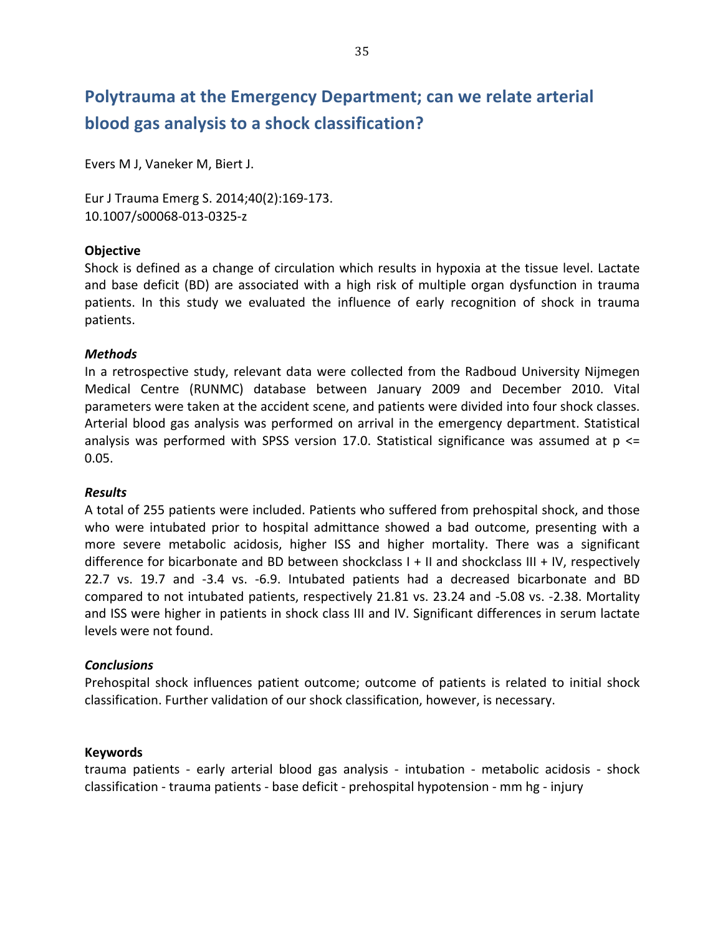# Polytrauma at the Emergency Department; can we relate arterial blood gas analysis to a shock classification?

Evers M J, Vaneker M, Biert J.

Eur J Trauma Emerg S. 2014;40(2):169-173. 10.1007/s00068-013-0325-z

#### **Objective'**

Shock is defined as a change of circulation which results in hypoxia at the tissue level. Lactate and base deficit (BD) are associated with a high risk of multiple organ dysfunction in trauma patients. In this study we evaluated the influence of early recognition of shock in trauma patients.

#### *Methods*

In a retrospective study, relevant data were collected from the Radboud University Nijmegen Medical Centre (RUNMC) database between January 2009 and December 2010. Vital parameters were taken at the accident scene, and patients were divided into four shock classes. Arterial blood gas analysis was performed on arrival in the emergency department. Statistical analysis was performed with SPSS version 17.0. Statistical significance was assumed at  $p \le$ 0.05.

#### *Results*

A total of 255 patients were included. Patients who suffered from prehospital shock, and those who were intubated prior to hospital admittance showed a bad outcome, presenting with a more severe metabolic acidosis, higher ISS and higher mortality. There was a significant difference for bicarbonate and BD between shockclass  $I + II$  and shockclass  $III + IV$ , respectively 22.7 vs. 19.7 and -3.4 vs. -6.9. Intubated patients had a decreased bicarbonate and BD compared to not intubated patients, respectively 21.81 vs. 23.24 and -5.08 vs. -2.38. Mortality and ISS were higher in patients in shock class III and IV. Significant differences in serum lactate levels were not found.

#### *Conclusions*

Prehospital shock influences patient outcome; outcome of patients is related to initial shock classification. Further validation of our shock classification, however, is necessary.

#### **Keywords**

trauma patients - early arterial blood gas analysis - intubation - metabolic acidosis - shock classification - trauma patients - base deficit - prehospital hypotension - mm hg - injury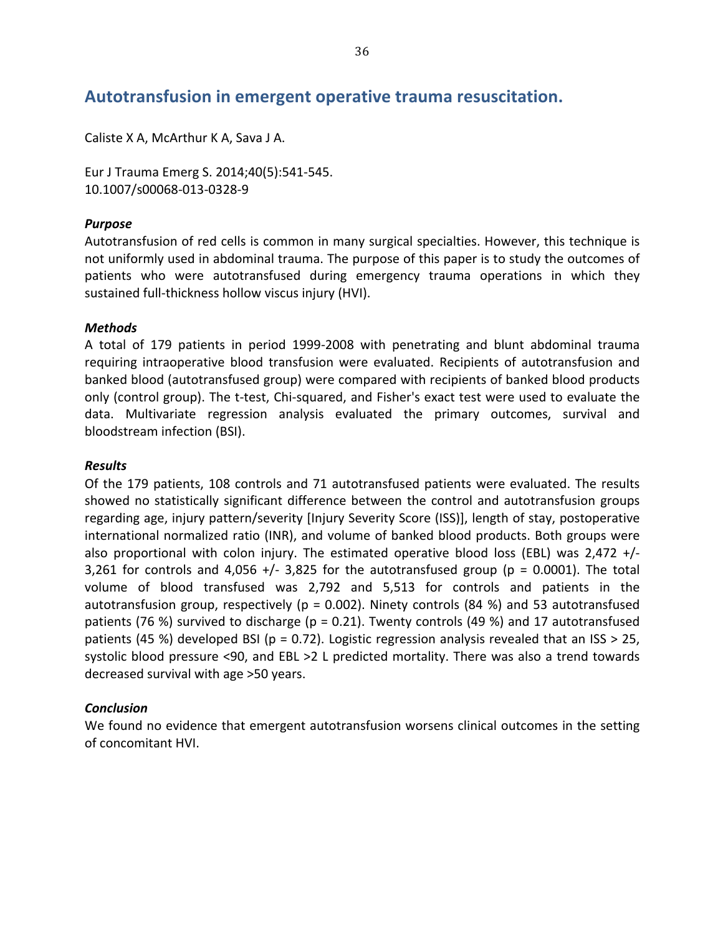### Autotransfusion in emergent operative trauma resuscitation.

Caliste X A, McArthur K A, Sava J A.

Eur J Trauma Emerg S. 2014;40(5):541-545. 10.1007/s00068-013-0328-9

#### *Purpose*

Autotransfusion of red cells is common in many surgical specialties. However, this technique is not uniformly used in abdominal trauma. The purpose of this paper is to study the outcomes of patients who were autotransfused during emergency trauma operations in which they sustained full-thickness hollow viscus injury (HVI).

#### *Methods*

A total of 179 patients in period 1999-2008 with penetrating and blunt abdominal trauma requiring intraoperative blood transfusion were evaluated. Recipients of autotransfusion and banked blood (autotransfused group) were compared with recipients of banked blood products only (control group). The t-test, Chi-squared, and Fisher's exact test were used to evaluate the data. Multivariate regression analysis evaluated the primary outcomes, survival and bloodstream infection (BSI).

#### *Results*

Of the 179 patients, 108 controls and 71 autotransfused patients were evaluated. The results showed no statistically significant difference between the control and autotransfusion groups regarding age, injury pattern/severity [Injury Severity Score (ISS)], length of stay, postoperative international normalized ratio (INR), and volume of banked blood products. Both groups were also proportional with colon injury. The estimated operative blood loss (EBL) was 2,472 +/-3,261 for controls and 4,056 +/- 3,825 for the autotransfused group ( $p = 0.0001$ ). The total volume of blood transfused was 2,792 and 5,513 for controls and patients in the autotransfusion group, respectively (p = 0.002). Ninety controls (84 %) and 53 autotransfused patients (76 %) survived to discharge (p = 0.21). Twenty controls (49 %) and 17 autotransfused patients (45 %) developed BSI (p = 0.72). Logistic regression analysis revealed that an ISS > 25, systolic blood pressure <90, and EBL >2 L predicted mortality. There was also a trend towards decreased survival with age >50 years.

#### *Conclusion*

We found no evidence that emergent autotransfusion worsens clinical outcomes in the setting of concomitant HVI.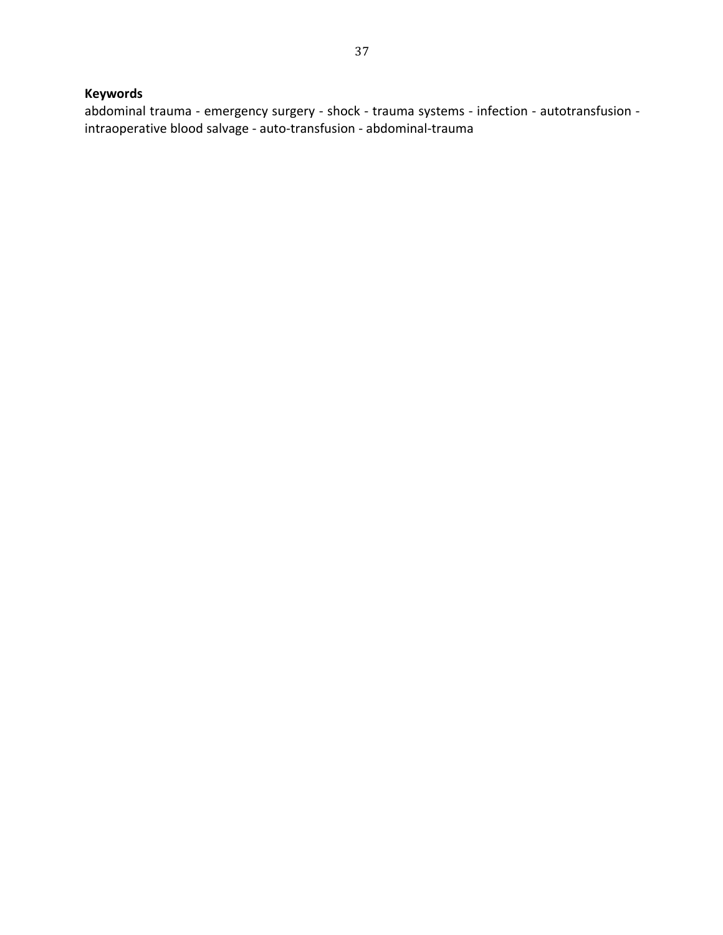### **Keywords**

abdominal trauma - emergency surgery - shock - trauma systems - infection - autotransfusion intraoperative blood salvage - auto-transfusion - abdominal-trauma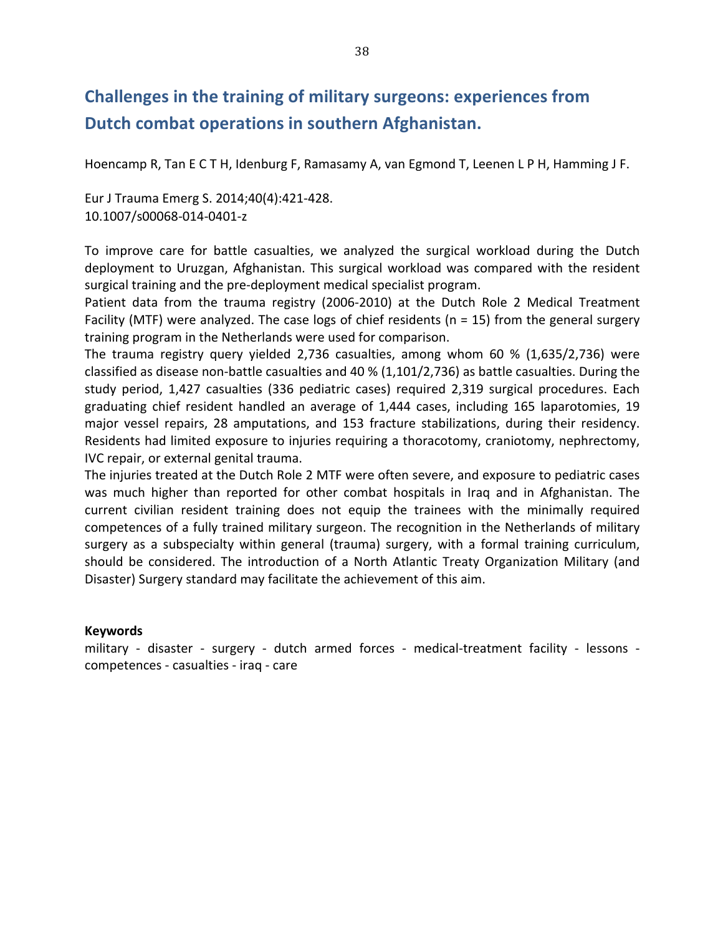## **Challenges in the training of military surgeons: experiences from** Dutch combat operations in southern Afghanistan.

Hoencamp R, Tan E C T H, Idenburg F, Ramasamy A, van Egmond T, Leenen L P H, Hamming J F.

Eur J Trauma Emerg S. 2014;40(4):421-428. 10.1007/s00068-014-0401-z

To improve care for battle casualties, we analyzed the surgical workload during the Dutch deployment to Uruzgan, Afghanistan. This surgical workload was compared with the resident surgical training and the pre-deployment medical specialist program.

Patient data from the trauma registry (2006-2010) at the Dutch Role 2 Medical Treatment Facility (MTF) were analyzed. The case logs of chief residents (n = 15) from the general surgery training program in the Netherlands were used for comparison.

The trauma registry query yielded 2,736 casualties, among whom  $60$  % (1,635/2,736) were classified as disease non-battle casualties and 40 % (1,101/2,736) as battle casualties. During the study period, 1,427 casualties (336 pediatric cases) required 2,319 surgical procedures. Each graduating chief resident handled an average of 1,444 cases, including 165 laparotomies, 19 major vessel repairs, 28 amputations, and 153 fracture stabilizations, during their residency. Residents had limited exposure to injuries requiring a thoracotomy, craniotomy, nephrectomy, IVC repair, or external genital trauma.

The injuries treated at the Dutch Role 2 MTF were often severe, and exposure to pediatric cases was much higher than reported for other combat hospitals in Iraq and in Afghanistan. The current civilian resident training does not equip the trainees with the minimally required competences of a fully trained military surgeon. The recognition in the Netherlands of military surgery as a subspecialty within general (trauma) surgery, with a formal training curriculum, should be considered. The introduction of a North Atlantic Treaty Organization Military (and Disaster) Surgery standard may facilitate the achievement of this aim.

#### **Keywords**

military - disaster - surgery - dutch armed forces - medical-treatment facility - lessons competences - casualties - iraq - care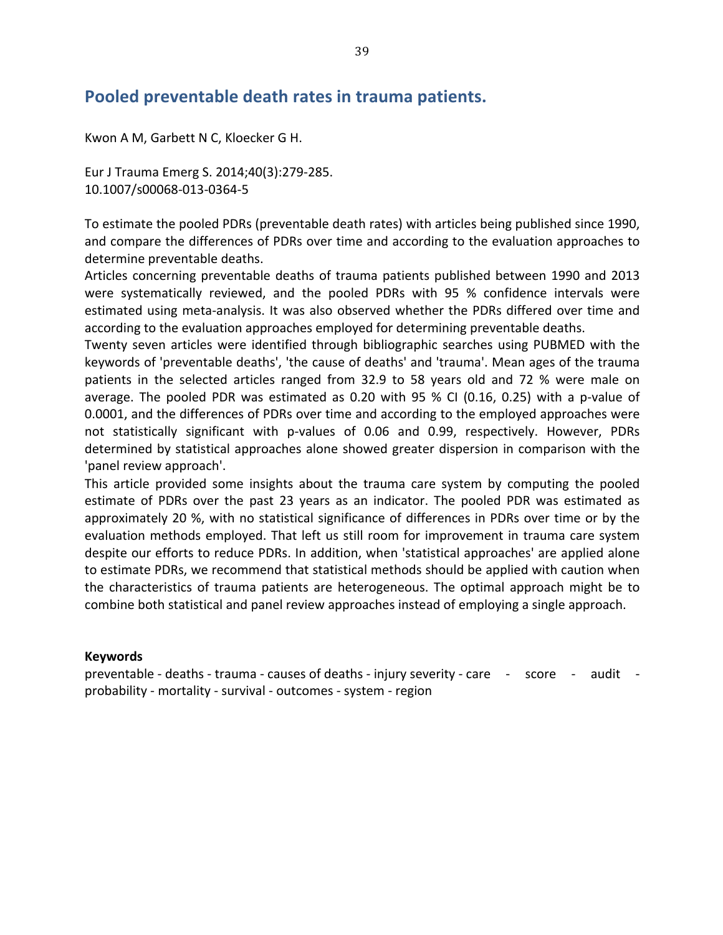### Pooled preventable death rates in trauma patients.

Kwon A M, Garbett N C, Kloecker G H.

Eur J Trauma Emerg S. 2014;40(3):279-285. 10.1007/s00068-013-0364-5

To estimate the pooled PDRs (preventable death rates) with articles being published since 1990, and compare the differences of PDRs over time and according to the evaluation approaches to determine preventable deaths.

Articles concerning preventable deaths of trauma patients published between 1990 and 2013 were systematically reviewed, and the pooled PDRs with 95 % confidence intervals were estimated using meta-analysis. It was also observed whether the PDRs differed over time and according to the evaluation approaches employed for determining preventable deaths.

Twenty seven articles were identified through bibliographic searches using PUBMED with the keywords of 'preventable deaths', 'the cause of deaths' and 'trauma'. Mean ages of the trauma patients in the selected articles ranged from 32.9 to 58 years old and 72 % were male on average. The pooled PDR was estimated as 0.20 with 95 % CI (0.16, 0.25) with a p-value of 0.0001, and the differences of PDRs over time and according to the employed approaches were not statistically significant with p-values of 0.06 and 0.99, respectively. However, PDRs determined by statistical approaches alone showed greater dispersion in comparison with the 'panel review approach'.

This article provided some insights about the trauma care system by computing the pooled estimate of PDRs over the past 23 years as an indicator. The pooled PDR was estimated as approximately 20 %, with no statistical significance of differences in PDRs over time or by the evaluation methods employed. That left us still room for improvement in trauma care system despite our efforts to reduce PDRs. In addition, when 'statistical approaches' are applied alone to estimate PDRs, we recommend that statistical methods should be applied with caution when the characteristics of trauma patients are heterogeneous. The optimal approach might be to combine both statistical and panel review approaches instead of employing a single approach.

#### **Keywords**

preventable - deaths - trauma - causes of deaths - injury severity - care - score - audit probability - mortality - survival - outcomes - system - region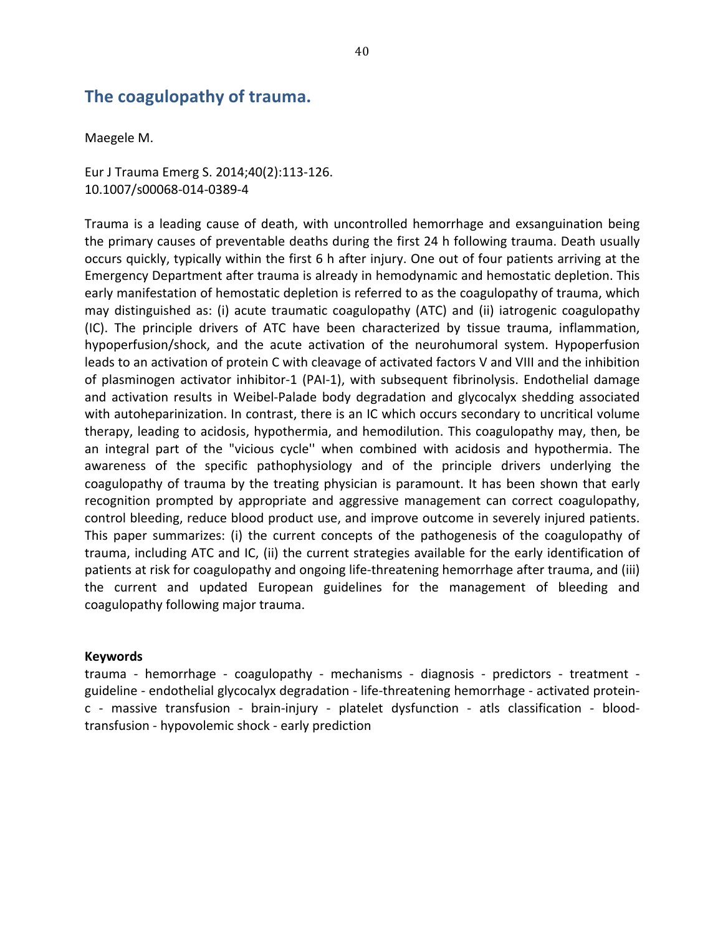### The coagulopathy of trauma.

Maegele M.

Eur J Trauma Emerg S. 2014;40(2):113-126. 10.1007/s00068-014-0389-4

Trauma is a leading cause of death, with uncontrolled hemorrhage and exsanguination being the primary causes of preventable deaths during the first 24 h following trauma. Death usually occurs quickly, typically within the first 6 h after injury. One out of four patients arriving at the Emergency Department after trauma is already in hemodynamic and hemostatic depletion. This early manifestation of hemostatic depletion is referred to as the coagulopathy of trauma, which may distinguished as: (i) acute traumatic coagulopathy (ATC) and (ii) iatrogenic coagulopathy (IC). The principle drivers of ATC have been characterized by tissue trauma, inflammation, hypoperfusion/shock, and the acute activation of the neurohumoral system. Hypoperfusion leads to an activation of protein C with cleavage of activated factors V and VIII and the inhibition of plasminogen activator inhibitor-1 (PAI-1), with subsequent fibrinolysis. Endothelial damage and activation results in Weibel-Palade body degradation and glycocalyx shedding associated with autoheparinization. In contrast, there is an IC which occurs secondary to uncritical volume therapy, leading to acidosis, hypothermia, and hemodilution. This coagulopathy may, then, be an integral part of the "vicious cycle" when combined with acidosis and hypothermia. The awareness of the specific pathophysiology and of the principle drivers underlying the coagulopathy of trauma by the treating physician is paramount. It has been shown that early recognition prompted by appropriate and aggressive management can correct coagulopathy, control bleeding, reduce blood product use, and improve outcome in severely injured patients. This paper summarizes: (i) the current concepts of the pathogenesis of the coagulopathy of trauma, including ATC and IC, (ii) the current strategies available for the early identification of patients at risk for coagulopathy and ongoing life-threatening hemorrhage after trauma, and (iii) the current and updated European guidelines for the management of bleeding and coagulopathy following major trauma.

#### **Keywords**

trauma - hemorrhage - coagulopathy - mechanisms - diagnosis - predictors - treatment guideline - endothelial glycocalyx degradation - life-threatening hemorrhage - activated proteinc - massive transfusion - brain-injury - platelet dysfunction - atls classification - bloodtransfusion - hypovolemic shock - early prediction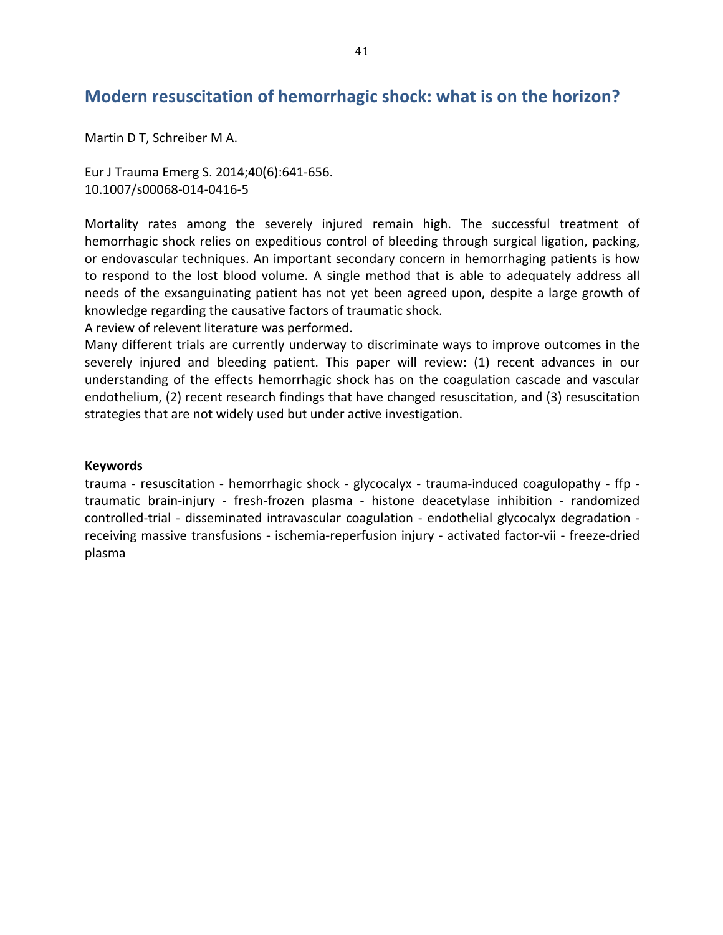### **Modern resuscitation of hemorrhagic shock: what is on the horizon?**

Martin D T, Schreiber M A.

Eur J Trauma Emerg S. 2014;40(6):641-656. 10.1007/s00068-014-0416-5

Mortality rates among the severely injured remain high. The successful treatment of hemorrhagic shock relies on expeditious control of bleeding through surgical ligation, packing, or endovascular techniques. An important secondary concern in hemorrhaging patients is how to respond to the lost blood volume. A single method that is able to adequately address all needs of the exsanguinating patient has not yet been agreed upon, despite a large growth of knowledge regarding the causative factors of traumatic shock.

A review of relevent literature was performed.

Many different trials are currently underway to discriminate ways to improve outcomes in the severely injured and bleeding patient. This paper will review: (1) recent advances in our understanding of the effects hemorrhagic shock has on the coagulation cascade and vascular endothelium, (2) recent research findings that have changed resuscitation, and (3) resuscitation strategies that are not widely used but under active investigation.

#### **Keywords**

trauma - resuscitation - hemorrhagic shock - glycocalyx - trauma-induced coagulopathy - ffp traumatic brain-injury - fresh-frozen plasma - histone deacetylase inhibition - randomized controlled-trial - disseminated intravascular coagulation - endothelial glycocalyx degradation receiving massive transfusions - ischemia-reperfusion injury - activated factor-vii - freeze-dried plasma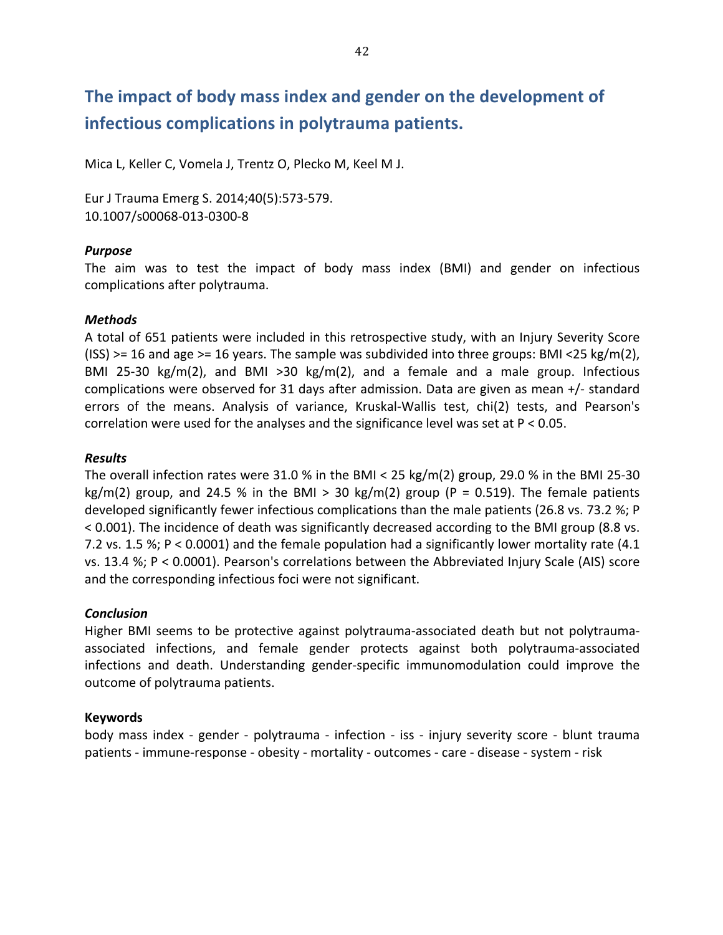# The impact of body mass index and gender on the development of **infectious'complications'in'polytrauma'patients.**

Mica L, Keller C, Vomela J, Trentz O, Plecko M, Keel M J.

Eur J Trauma Emerg S. 2014;40(5):573-579. 10.1007/s00068-013-0300-8

#### *Purpose*

The aim was to test the impact of body mass index (BMI) and gender on infectious complications after polytrauma.

#### *Methods*

A total of 651 patients were included in this retrospective study, with an Injury Severity Score (ISS) >= 16 and age >= 16 years. The sample was subdivided into three groups: BMI <25 kg/m(2), BMI 25-30  $kg/m(2)$ , and BMI >30  $kg/m(2)$ , and a female and a male group. Infectious complications were observed for 31 days after admission. Data are given as mean  $+/-$  standard errors of the means. Analysis of variance, Kruskal-Wallis test, chi(2) tests, and Pearson's correlation were used for the analyses and the significance level was set at  $P < 0.05$ .

#### *Results*

The overall infection rates were 31.0 % in the BMI < 25 kg/m(2) group, 29.0 % in the BMI 25-30 kg/m(2) group, and 24.5 % in the BMI > 30 kg/m(2) group (P = 0.519). The female patients developed significantly fewer infectious complications than the male patients (26.8 vs. 73.2 %; P < 0.001). The incidence of death was significantly decreased according to the BMI group (8.8 vs. 7.2 vs. 1.5 %; P < 0.0001) and the female population had a significantly lower mortality rate (4.1 vs. 13.4 %; P < 0.0001). Pearson's correlations between the Abbreviated Injury Scale (AIS) score and the corresponding infectious foci were not significant.

#### *Conclusion*

Higher BMI seems to be protective against polytrauma-associated death but not polytraumaassociated infections, and female gender protects against both polytrauma-associated infections and death. Understanding gender-specific immunomodulation could improve the outcome of polytrauma patients.

#### **Keywords**

body mass index - gender - polytrauma - infection - iss - injury severity score - blunt trauma patients - immune-response - obesity - mortality - outcomes - care - disease - system - risk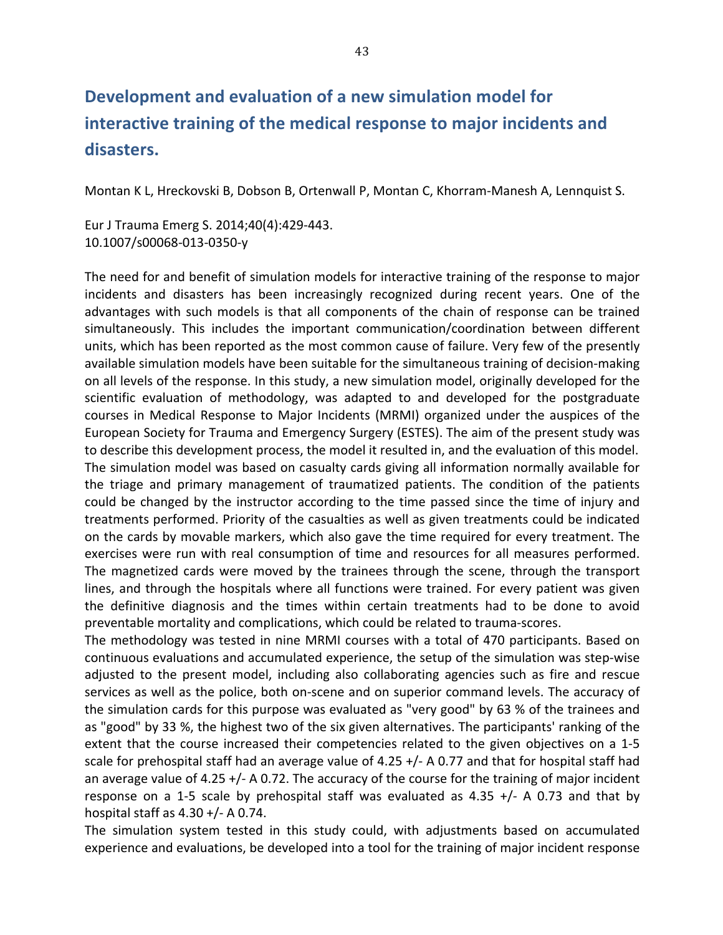# **Development'and'evaluation'of'a'new'simulation'model'for' interactive training of the medical response to major incidents and disasters.**

Montan K L, Hreckovski B, Dobson B, Ortenwall P, Montan C, Khorram-Manesh A, Lennquist S.

Eur J Trauma Emerg S. 2014;40(4):429-443. 10.1007/s00068-013-0350-y

The need for and benefit of simulation models for interactive training of the response to major incidents and disasters has been increasingly recognized during recent years. One of the advantages with such models is that all components of the chain of response can be trained simultaneously. This includes the important communication/coordination between different units, which has been reported as the most common cause of failure. Very few of the presently available simulation models have been suitable for the simultaneous training of decision-making on all levels of the response. In this study, a new simulation model, originally developed for the scientific evaluation of methodology, was adapted to and developed for the postgraduate courses in Medical Response to Major Incidents (MRMI) organized under the auspices of the European Society for Trauma and Emergency Surgery (ESTES). The aim of the present study was to describe this development process, the model it resulted in, and the evaluation of this model. The simulation model was based on casualty cards giving all information normally available for the triage and primary management of traumatized patients. The condition of the patients could be changed by the instructor according to the time passed since the time of injury and treatments performed. Priority of the casualties as well as given treatments could be indicated on the cards by movable markers, which also gave the time required for every treatment. The exercises were run with real consumption of time and resources for all measures performed. The magnetized cards were moved by the trainees through the scene, through the transport lines, and through the hospitals where all functions were trained. For every patient was given the definitive diagnosis and the times within certain treatments had to be done to avoid preventable mortality and complications, which could be related to trauma-scores.

The methodology was tested in nine MRMI courses with a total of 470 participants. Based on continuous evaluations and accumulated experience, the setup of the simulation was step-wise adjusted to the present model, including also collaborating agencies such as fire and rescue services as well as the police, both on-scene and on superior command levels. The accuracy of the simulation cards for this purpose was evaluated as "very good" by 63 % of the trainees and as "good" by 33 %, the highest two of the six given alternatives. The participants' ranking of the extent that the course increased their competencies related to the given objectives on a 1-5 scale for prehospital staff had an average value of 4.25  $+/-$  A 0.77 and that for hospital staff had an average value of 4.25  $+/-$  A 0.72. The accuracy of the course for the training of major incident response on a 1-5 scale by prehospital staff was evaluated as 4.35  $+/-$  A 0.73 and that by hospital staff as  $4.30 + / -$  A 0.74.

The simulation system tested in this study could, with adjustments based on accumulated experience and evaluations, be developed into a tool for the training of major incident response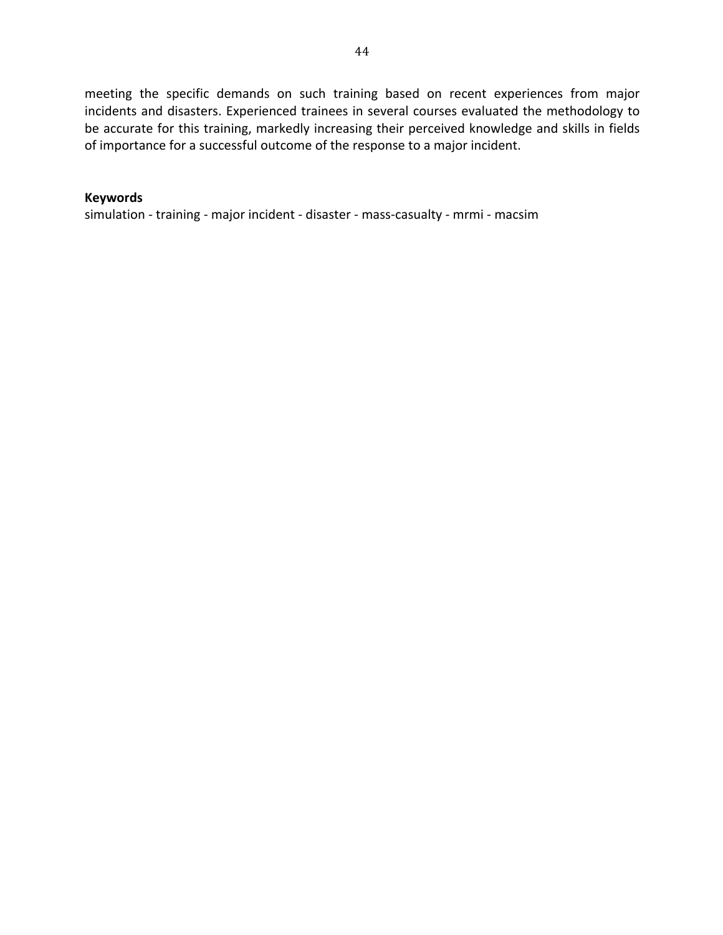meeting the specific demands on such training based on recent experiences from major incidents and disasters. Experienced trainees in several courses evaluated the methodology to be accurate for this training, markedly increasing their perceived knowledge and skills in fields of importance for a successful outcome of the response to a major incident.

#### **Keywords**

simulation - training - major incident - disaster - mass-casualty - mrmi - macsim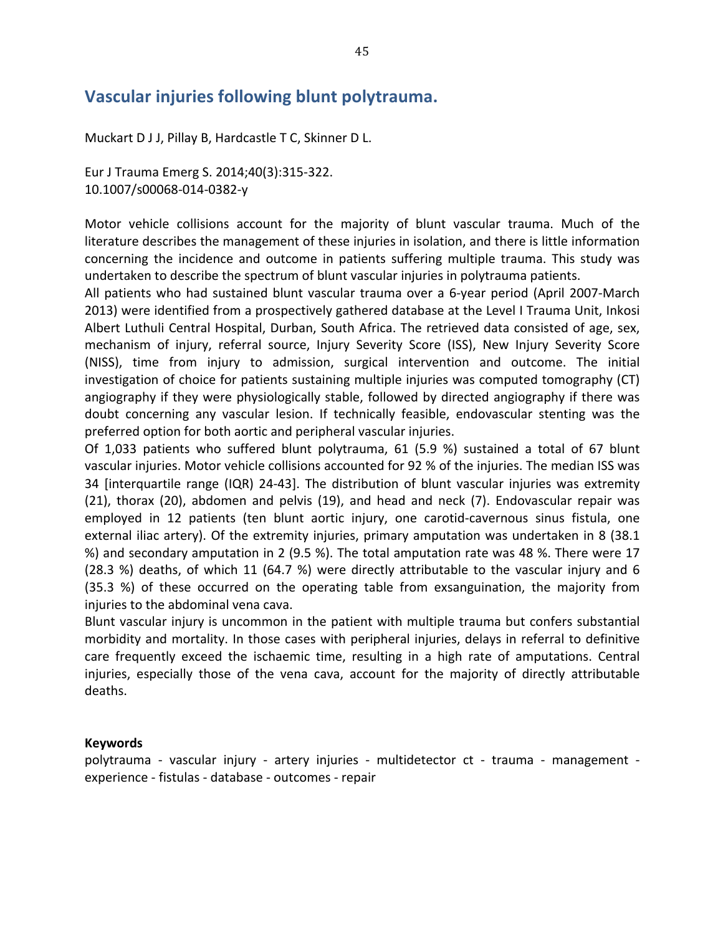### **Vascular'injuries'following'blunt'polytrauma.**

Muckart D J J, Pillay B, Hardcastle T C, Skinner D L.

Eur J Trauma Emerg S. 2014;40(3):315-322. 10.1007/s00068-014-0382-y

Motor vehicle collisions account for the majority of blunt vascular trauma. Much of the literature describes the management of these injuries in isolation, and there is little information concerning the incidence and outcome in patients suffering multiple trauma. This study was undertaken to describe the spectrum of blunt vascular injuries in polytrauma patients.

All patients who had sustained blunt vascular trauma over a 6-year period (April 2007-March 2013) were identified from a prospectively gathered database at the Level I Trauma Unit, Inkosi Albert Luthuli Central Hospital, Durban, South Africa. The retrieved data consisted of age, sex, mechanism of injury, referral source, Injury Severity Score (ISS), New Injury Severity Score (NISS), time from injury to admission, surgical intervention and outcome. The initial investigation of choice for patients sustaining multiple injuries was computed tomography (CT) angiography if they were physiologically stable, followed by directed angiography if there was doubt concerning any vascular lesion. If technically feasible, endovascular stenting was the preferred option for both aortic and peripheral vascular injuries.

Of 1,033 patients who suffered blunt polytrauma,  $61$  (5.9 %) sustained a total of 67 blunt vascular injuries. Motor vehicle collisions accounted for 92 % of the injuries. The median ISS was 34 [interquartile range (IQR) 24-43]. The distribution of blunt vascular injuries was extremity  $(21)$ , thorax  $(20)$ , abdomen and pelvis  $(19)$ , and head and neck  $(7)$ . Endovascular repair was employed in 12 patients (ten blunt aortic injury, one carotid-cavernous sinus fistula, one external iliac artery). Of the extremity injuries, primary amputation was undertaken in 8 (38.1) %) and secondary amputation in 2 (9.5 %). The total amputation rate was 48 %. There were 17 (28.3 %) deaths, of which 11 (64.7 %) were directly attributable to the vascular injury and 6  $(35.3 \%)$  of these occurred on the operating table from exsanguination, the majority from injuries to the abdominal vena cava.

Blunt vascular injury is uncommon in the patient with multiple trauma but confers substantial morbidity and mortality. In those cases with peripheral injuries, delays in referral to definitive care frequently exceed the ischaemic time, resulting in a high rate of amputations. Central injuries, especially those of the vena cava, account for the majority of directly attributable deaths.

#### **Keywords**

polytrauma - vascular injury - artery injuries - multidetector ct - trauma - management experience - fistulas - database - outcomes - repair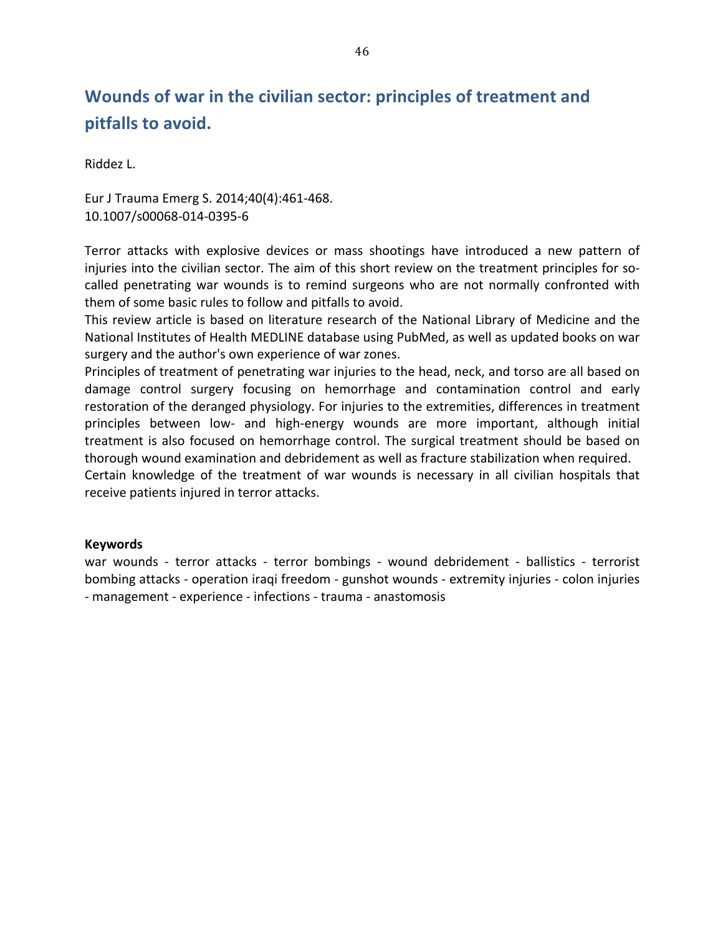## Wounds of war in the civilian sector: principles of treatment and pitfalls to avoid.

Riddez L.

Eur J Trauma Emerg S. 2014;40(4):461-468. 10.1007/s00068-014-0395-6

Terror attacks with explosive devices or mass shootings have introduced a new pattern of injuries into the civilian sector. The aim of this short review on the treatment principles for socalled penetrating war wounds is to remind surgeons who are not normally confronted with them of some basic rules to follow and pitfalls to avoid.

This review article is based on literature research of the National Library of Medicine and the National Institutes of Health MEDLINE database using PubMed, as well as updated books on war surgery and the author's own experience of war zones.

Principles of treatment of penetrating war injuries to the head, neck, and torso are all based on damage control surgery focusing on hemorrhage and contamination control and early restoration of the deranged physiology. For injuries to the extremities, differences in treatment principles between low- and high-energy wounds are more important, although initial treatment is also focused on hemorrhage control. The surgical treatment should be based on thorough wound examination and debridement as well as fracture stabilization when required.

Certain knowledge of the treatment of war wounds is necessary in all civilian hospitals that receive patients injured in terror attacks.

#### **Keywords**

war wounds - terror attacks - terror bombings - wound debridement - ballistics - terrorist bombing attacks - operation iraqi freedom - gunshot wounds - extremity injuries - colon injuries - management - experience - infections - trauma - anastomosis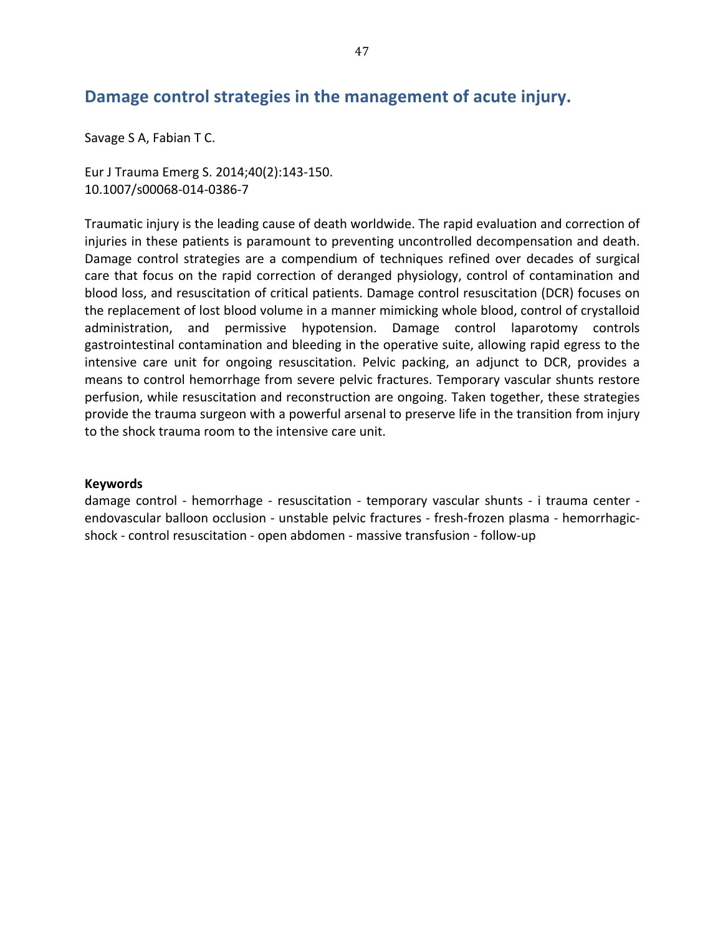### Damage control strategies in the management of acute injury.

Savage S A, Fabian T C.

Eur J Trauma Emerg S. 2014;40(2):143-150. 10.1007/s00068-014-0386-7

Traumatic injury is the leading cause of death worldwide. The rapid evaluation and correction of injuries in these patients is paramount to preventing uncontrolled decompensation and death. Damage control strategies are a compendium of techniques refined over decades of surgical care that focus on the rapid correction of deranged physiology, control of contamination and blood loss, and resuscitation of critical patients. Damage control resuscitation (DCR) focuses on the replacement of lost blood volume in a manner mimicking whole blood, control of crystalloid administration, and permissive hypotension. Damage control laparotomy controls gastrointestinal contamination and bleeding in the operative suite, allowing rapid egress to the intensive care unit for ongoing resuscitation. Pelvic packing, an adjunct to DCR, provides a means to control hemorrhage from severe pelvic fractures. Temporary vascular shunts restore perfusion, while resuscitation and reconstruction are ongoing. Taken together, these strategies provide the trauma surgeon with a powerful arsenal to preserve life in the transition from injury to the shock trauma room to the intensive care unit.

#### **Keywords**

damage control - hemorrhage - resuscitation - temporary vascular shunts - i trauma center endovascular balloon occlusion - unstable pelvic fractures - fresh-frozen plasma - hemorrhagicshock - control resuscitation - open abdomen - massive transfusion - follow-up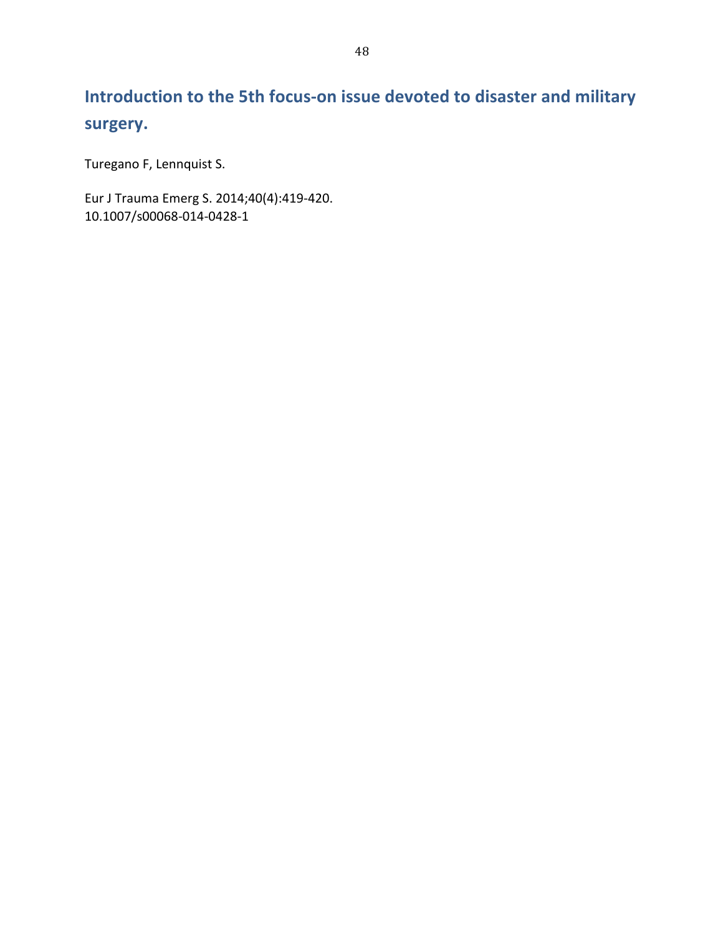# Introduction to the 5th focus-on issue devoted to disaster and military **surgery.**

Turegano F, Lennquist S.

Eur J Trauma Emerg S. 2014;40(4):419-420. 10.1007/s00068-014-0428-1